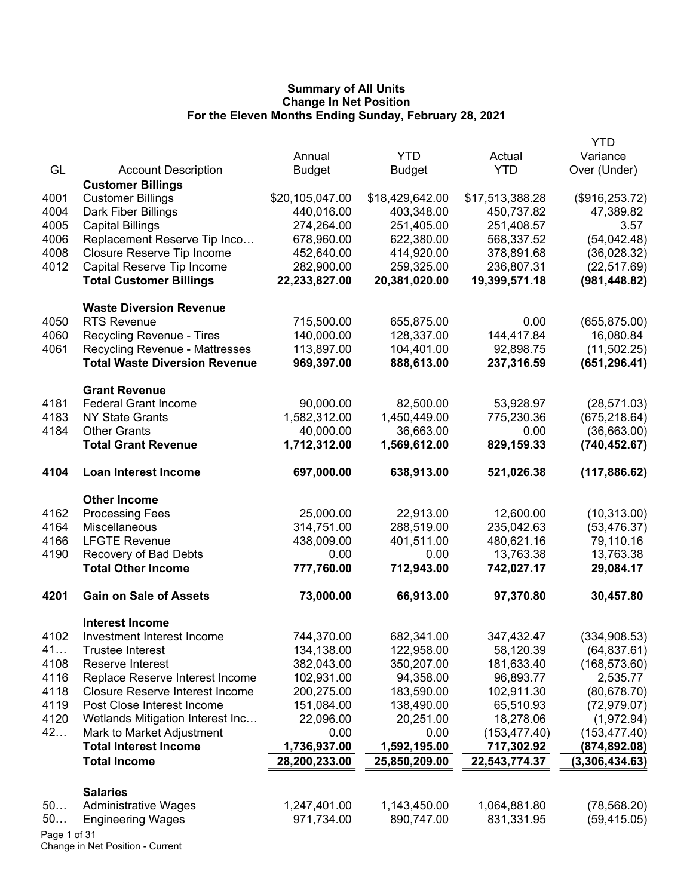|              |                                        |                 |                 |                 | <b>YTD</b>      |
|--------------|----------------------------------------|-----------------|-----------------|-----------------|-----------------|
|              |                                        | Annual          | <b>YTD</b>      | Actual          | Variance        |
| GL           | <b>Account Description</b>             | <b>Budget</b>   | <b>Budget</b>   | <b>YTD</b>      | Over (Under)    |
|              | <b>Customer Billings</b>               |                 |                 |                 |                 |
| 4001         | <b>Customer Billings</b>               | \$20,105,047.00 | \$18,429,642.00 | \$17,513,388.28 | (\$916, 253.72) |
| 4004         | Dark Fiber Billings                    | 440,016.00      | 403,348.00      | 450,737.82      | 47,389.82       |
| 4005         | <b>Capital Billings</b>                | 274,264.00      | 251,405.00      | 251,408.57      | 3.57            |
| 4006         | Replacement Reserve Tip Inco           | 678,960.00      | 622,380.00      | 568,337.52      | (54, 042.48)    |
| 4008         | Closure Reserve Tip Income             | 452,640.00      | 414,920.00      | 378,891.68      | (36,028.32)     |
| 4012         | Capital Reserve Tip Income             | 282,900.00      | 259,325.00      | 236,807.31      | (22, 517.69)    |
|              | <b>Total Customer Billings</b>         | 22,233,827.00   | 20,381,020.00   | 19,399,571.18   | (981, 448.82)   |
|              | <b>Waste Diversion Revenue</b>         |                 |                 |                 |                 |
| 4050         | <b>RTS Revenue</b>                     | 715,500.00      | 655,875.00      | 0.00            | (655, 875.00)   |
| 4060         | Recycling Revenue - Tires              | 140,000.00      | 128,337.00      | 144,417.84      | 16,080.84       |
| 4061         | <b>Recycling Revenue - Mattresses</b>  | 113,897.00      | 104,401.00      | 92,898.75       | (11,502.25)     |
|              | <b>Total Waste Diversion Revenue</b>   | 969,397.00      | 888,613.00      | 237,316.59      | (651, 296.41)   |
|              | <b>Grant Revenue</b>                   |                 |                 |                 |                 |
| 4181         | <b>Federal Grant Income</b>            | 90,000.00       | 82,500.00       | 53,928.97       | (28, 571.03)    |
| 4183         | <b>NY State Grants</b>                 | 1,582,312.00    | 1,450,449.00    | 775,230.36      | (675, 218.64)   |
| 4184         | <b>Other Grants</b>                    | 40,000.00       | 36,663.00       | 0.00            | (36,663.00)     |
|              | <b>Total Grant Revenue</b>             | 1,712,312.00    | 1,569,612.00    | 829,159.33      | (740, 452.67)   |
| 4104         | <b>Loan Interest Income</b>            | 697,000.00      | 638,913.00      | 521,026.38      | (117, 886.62)   |
|              | <b>Other Income</b>                    |                 |                 |                 |                 |
| 4162         | <b>Processing Fees</b>                 | 25,000.00       | 22,913.00       | 12,600.00       | (10, 313.00)    |
| 4164         | Miscellaneous                          | 314,751.00      | 288,519.00      | 235,042.63      | (53, 476.37)    |
| 4166         | <b>LFGTE Revenue</b>                   | 438,009.00      | 401,511.00      | 480,621.16      | 79,110.16       |
| 4190         | Recovery of Bad Debts                  | 0.00            | 0.00            | 13,763.38       | 13,763.38       |
|              | <b>Total Other Income</b>              | 777,760.00      | 712,943.00      | 742,027.17      | 29,084.17       |
| 4201         | <b>Gain on Sale of Assets</b>          | 73,000.00       | 66,913.00       | 97,370.80       | 30,457.80       |
|              | <b>Interest Income</b>                 |                 |                 |                 |                 |
| 4102         | Investment Interest Income             | 744,370.00      | 682,341.00      | 347,432.47      | (334, 908.53)   |
| 41           | <b>Trustee Interest</b>                | 134,138.00      | 122,958.00      | 58,120.39       | (64, 837.61)    |
| 4108         | Reserve Interest                       | 382,043.00      | 350,207.00      | 181,633.40      | (168, 573.60)   |
| 4116         | Replace Reserve Interest Income        | 102,931.00      | 94,358.00       | 96,893.77       | 2,535.77        |
| 4118         | <b>Closure Reserve Interest Income</b> | 200,275.00      | 183,590.00      | 102,911.30      | (80, 678.70)    |
| 4119         | Post Close Interest Income             | 151,084.00      | 138,490.00      | 65,510.93       | (72, 979.07)    |
| 4120         | Wetlands Mitigation Interest Inc       | 22,096.00       | 20,251.00       | 18,278.06       | (1,972.94)      |
| 42           | Mark to Market Adjustment              | 0.00            | 0.00            | (153, 477.40)   | (153, 477.40)   |
|              | <b>Total Interest Income</b>           | 1,736,937.00    | 1,592,195.00    | 717,302.92      | (874, 892.08)   |
|              | <b>Total Income</b>                    | 28,200,233.00   | 25,850,209.00   | 22,543,774.37   | (3,306,434.63)  |
|              | <b>Salaries</b>                        |                 |                 |                 |                 |
| 50           | <b>Administrative Wages</b>            | 1,247,401.00    | 1,143,450.00    | 1,064,881.80    | (78, 568.20)    |
| 50           | <b>Engineering Wages</b>               | 971,734.00      | 890,747.00      | 831,331.95      | (59, 415.05)    |
| Page 1 of 31 |                                        |                 |                 |                 |                 |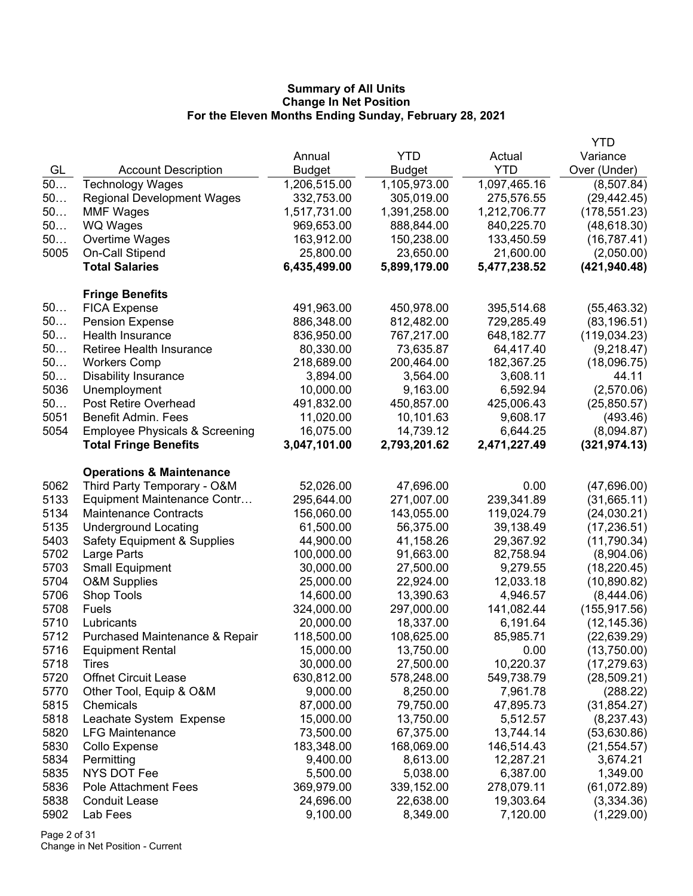|      |                                           |              |              |              | YTD           |
|------|-------------------------------------------|--------------|--------------|--------------|---------------|
|      |                                           | Annual       | <b>YTD</b>   | Actual       | Variance      |
| GL   | <b>Account Description</b>                | Budget       | Budget       | <b>YTD</b>   | Over (Under)  |
| $50$ | <b>Technology Wages</b>                   | 1,206,515.00 | 1,105,973.00 | 1,097,465.16 | (8,507.84)    |
| 50   | <b>Regional Development Wages</b>         | 332,753.00   | 305,019.00   | 275,576.55   | (29, 442.45)  |
| 50   | <b>MMF Wages</b>                          | 1,517,731.00 | 1,391,258.00 | 1,212,706.77 | (178, 551.23) |
| 50   | <b>WQ Wages</b>                           | 969,653.00   | 888,844.00   | 840,225.70   | (48, 618.30)  |
| 50   | Overtime Wages                            | 163,912.00   | 150,238.00   | 133,450.59   | (16, 787.41)  |
| 5005 | On-Call Stipend                           | 25,800.00    | 23,650.00    | 21,600.00    | (2,050.00)    |
|      | <b>Total Salaries</b>                     | 6,435,499.00 | 5,899,179.00 | 5,477,238.52 | (421, 940.48) |
|      | <b>Fringe Benefits</b>                    |              |              |              |               |
| 50   | <b>FICA Expense</b>                       | 491,963.00   | 450,978.00   | 395,514.68   | (55, 463.32)  |
| 50   | <b>Pension Expense</b>                    | 886,348.00   | 812,482.00   | 729,285.49   | (83, 196.51)  |
| 50   | Health Insurance                          | 836,950.00   | 767,217.00   | 648,182.77   | (119, 034.23) |
| 50   | Retiree Health Insurance                  | 80,330.00    | 73,635.87    | 64,417.40    | (9,218.47)    |
| 50   | <b>Workers Comp</b>                       | 218,689.00   | 200,464.00   | 182,367.25   | (18,096.75)   |
| 50   | <b>Disability Insurance</b>               | 3,894.00     | 3,564.00     | 3,608.11     | 44.11         |
| 5036 | Unemployment                              | 10,000.00    | 9,163.00     | 6,592.94     | (2,570.06)    |
| 50   | <b>Post Retire Overhead</b>               | 491,832.00   | 450,857.00   | 425,006.43   | (25,850.57)   |
| 5051 | <b>Benefit Admin. Fees</b>                | 11,020.00    | 10,101.63    | 9,608.17     | (493.46)      |
| 5054 | <b>Employee Physicals &amp; Screening</b> | 16,075.00    | 14,739.12    | 6,644.25     | (8,094.87)    |
|      | <b>Total Fringe Benefits</b>              | 3,047,101.00 | 2,793,201.62 | 2,471,227.49 | (321, 974.13) |
|      | <b>Operations &amp; Maintenance</b>       |              |              |              |               |
| 5062 | Third Party Temporary - O&M               | 52,026.00    | 47,696.00    | 0.00         | (47,696.00)   |
| 5133 | Equipment Maintenance Contr               | 295,644.00   | 271,007.00   | 239,341.89   | (31,665.11)   |
| 5134 | <b>Maintenance Contracts</b>              | 156,060.00   | 143,055.00   | 119,024.79   | (24,030.21)   |
| 5135 | <b>Underground Locating</b>               | 61,500.00    | 56,375.00    | 39,138.49    | (17, 236.51)  |
| 5403 | <b>Safety Equipment &amp; Supplies</b>    | 44,900.00    | 41,158.26    | 29,367.92    | (11,790.34)   |
| 5702 | Large Parts                               | 100,000.00   | 91,663.00    | 82,758.94    | (8,904.06)    |
| 5703 | <b>Small Equipment</b>                    | 30,000.00    | 27,500.00    | 9,279.55     | (18, 220.45)  |
| 5704 | <b>O&amp;M Supplies</b>                   | 25,000.00    | 22,924.00    | 12,033.18    | (10,890.82)   |
| 5706 | Shop Tools                                | 14,600.00    | 13,390.63    | 4,946.57     | (8,444.06)    |
| 5708 | <b>Fuels</b>                              | 324,000.00   | 297,000.00   | 141,082.44   | (155, 917.56) |
| 5710 | Lubricants                                | 20,000.00    | 18,337.00    | 6,191.64     | (12, 145.36)  |
| 5712 | Purchased Maintenance & Repair            | 118,500.00   | 108,625.00   | 85,985.71    | (22, 639.29)  |
| 5716 | <b>Equipment Rental</b>                   | 15,000.00    | 13,750.00    | 0.00         | (13,750.00)   |
| 5718 | Tires                                     | 30,000.00    | 27,500.00    | 10,220.37    | (17, 279.63)  |
| 5720 | <b>Offnet Circuit Lease</b>               | 630,812.00   | 578,248.00   | 549,738.79   | (28, 509.21)  |
| 5770 | Other Tool, Equip & O&M                   | 9,000.00     | 8,250.00     | 7,961.78     | (288.22)      |
| 5815 | Chemicals                                 | 87,000.00    | 79,750.00    | 47,895.73    | (31, 854.27)  |
| 5818 | Leachate System Expense                   | 15,000.00    | 13,750.00    | 5,512.57     | (8, 237.43)   |
| 5820 | <b>LFG Maintenance</b>                    | 73,500.00    | 67,375.00    | 13,744.14    | (53,630.86)   |
| 5830 | Collo Expense                             | 183,348.00   | 168,069.00   | 146,514.43   | (21, 554.57)  |
| 5834 | Permitting                                | 9,400.00     | 8,613.00     | 12,287.21    | 3,674.21      |
| 5835 | NYS DOT Fee                               | 5,500.00     | 5,038.00     | 6,387.00     | 1,349.00      |
| 5836 | <b>Pole Attachment Fees</b>               | 369,979.00   | 339,152.00   | 278,079.11   | (61,072.89)   |
| 5838 | <b>Conduit Lease</b>                      | 24,696.00    | 22,638.00    | 19,303.64    | (3,334.36)    |
| 5902 | Lab Fees                                  | 9,100.00     | 8,349.00     | 7,120.00     | (1,229.00)    |

Page 2 of 31 Change in Net Position - Current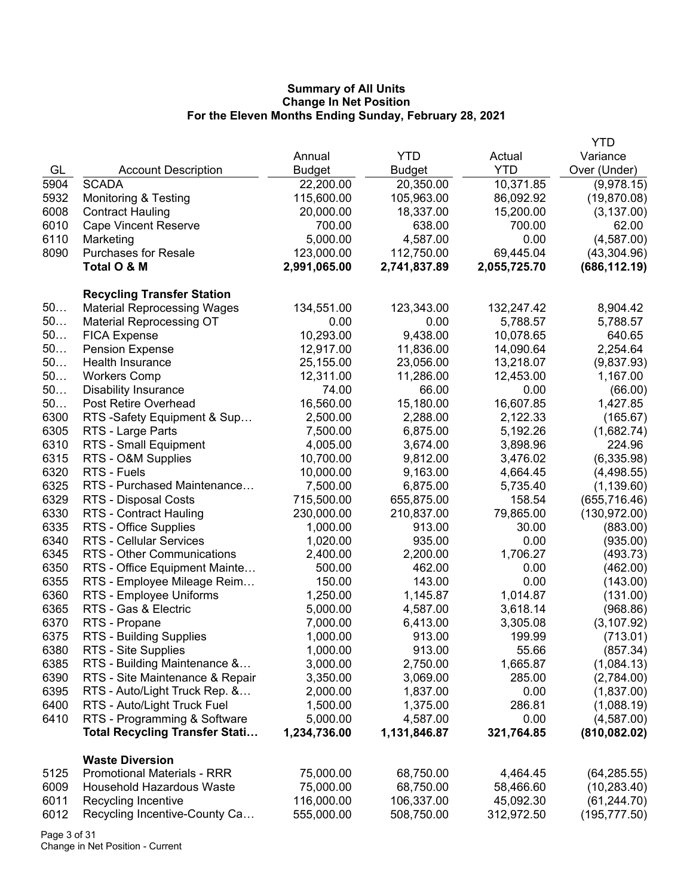|      |                                       |               |               |              | <b>YTD</b>    |
|------|---------------------------------------|---------------|---------------|--------------|---------------|
|      |                                       | Annual        | <b>YTD</b>    | Actual       | Variance      |
| GL   | <b>Account Description</b>            | <b>Budget</b> | <b>Budget</b> | <b>YTD</b>   | Over (Under)  |
| 5904 | <b>SCADA</b>                          | 22,200.00     | 20,350.00     | 10,371.85    | (9,978.15)    |
| 5932 | <b>Monitoring &amp; Testing</b>       | 115,600.00    | 105,963.00    | 86,092.92    | (19,870.08)   |
| 6008 | <b>Contract Hauling</b>               | 20,000.00     | 18,337.00     | 15,200.00    | (3, 137.00)   |
| 6010 | <b>Cape Vincent Reserve</b>           | 700.00        | 638.00        | 700.00       | 62.00         |
| 6110 | Marketing                             | 5,000.00      | 4,587.00      | 0.00         | (4,587.00)    |
| 8090 | <b>Purchases for Resale</b>           | 123,000.00    | 112,750.00    | 69,445.04    | (43, 304.96)  |
|      | Total O & M                           | 2,991,065.00  | 2,741,837.89  | 2,055,725.70 | (686, 112.19) |
|      |                                       |               |               |              |               |
|      | <b>Recycling Transfer Station</b>     |               |               |              |               |
| 50   | <b>Material Reprocessing Wages</b>    | 134,551.00    | 123,343.00    | 132,247.42   | 8,904.42      |
| $50$ | <b>Material Reprocessing OT</b>       | 0.00          | 0.00          | 5,788.57     | 5,788.57      |
| 50   | <b>FICA Expense</b>                   | 10,293.00     | 9,438.00      | 10,078.65    | 640.65        |
| 50   | <b>Pension Expense</b>                | 12,917.00     | 11,836.00     | 14,090.64    | 2,254.64      |
| 50   | Health Insurance                      | 25,155.00     | 23,056.00     | 13,218.07    | (9,837.93)    |
| 50   | <b>Workers Comp</b>                   | 12,311.00     | 11,286.00     | 12,453.00    | 1,167.00      |
| 50   | <b>Disability Insurance</b>           | 74.00         | 66.00         | 0.00         | (66.00)       |
| 50   | Post Retire Overhead                  | 16,560.00     | 15,180.00     | 16,607.85    | 1,427.85      |
| 6300 | RTS -Safety Equipment & Sup           | 2,500.00      | 2,288.00      | 2,122.33     | (165.67)      |
| 6305 | RTS - Large Parts                     | 7,500.00      | 6,875.00      | 5,192.26     | (1,682.74)    |
| 6310 | RTS - Small Equipment                 | 4,005.00      | 3,674.00      | 3,898.96     | 224.96        |
| 6315 | RTS - O&M Supplies                    | 10,700.00     | 9,812.00      | 3,476.02     | (6,335.98)    |
| 6320 | RTS - Fuels                           | 10,000.00     | 9,163.00      | 4,664.45     | (4,498.55)    |
| 6325 | RTS - Purchased Maintenance           | 7,500.00      | 6,875.00      | 5,735.40     | (1, 139.60)   |
| 6329 | RTS - Disposal Costs                  | 715,500.00    | 655,875.00    | 158.54       | (655, 716.46) |
| 6330 | RTS - Contract Hauling                | 230,000.00    | 210,837.00    | 79,865.00    | (130, 972.00) |
| 6335 | RTS - Office Supplies                 | 1,000.00      | 913.00        | 30.00        | (883.00)      |
| 6340 | <b>RTS - Cellular Services</b>        | 1,020.00      | 935.00        | 0.00         | (935.00)      |
| 6345 | RTS - Other Communications            | 2,400.00      | 2,200.00      | 1,706.27     | (493.73)      |
| 6350 | RTS - Office Equipment Mainte         | 500.00        | 462.00        | 0.00         | (462.00)      |
| 6355 | RTS - Employee Mileage Reim           | 150.00        | 143.00        | 0.00         | (143.00)      |
| 6360 | RTS - Employee Uniforms               | 1,250.00      | 1,145.87      | 1,014.87     | (131.00)      |
| 6365 | RTS - Gas & Electric                  | 5,000.00      | 4,587.00      | 3,618.14     | (968.86)      |
| 6370 | RTS - Propane                         | 7,000.00      | 6,413.00      | 3,305.08     | (3, 107.92)   |
| 6375 | <b>RTS - Building Supplies</b>        | 1,000.00      | 913.00        | 199.99       | (713.01)      |
| 6380 | RTS - Site Supplies                   | 1,000.00      | 913.00        | 55.66        | (857.34)      |
| 6385 | RTS - Building Maintenance &          | 3,000.00      | 2,750.00      | 1,665.87     | (1,084.13)    |
| 6390 | RTS - Site Maintenance & Repair       | 3,350.00      | 3,069.00      | 285.00       | (2,784.00)    |
| 6395 | RTS - Auto/Light Truck Rep. &         | 2,000.00      | 1,837.00      | 0.00         | (1,837.00)    |
| 6400 | RTS - Auto/Light Truck Fuel           | 1,500.00      | 1,375.00      | 286.81       | (1,088.19)    |
| 6410 | RTS - Programming & Software          | 5,000.00      | 4,587.00      | 0.00         | (4,587.00)    |
|      | <b>Total Recycling Transfer Stati</b> | 1,234,736.00  | 1,131,846.87  | 321,764.85   | (810, 082.02) |
|      | <b>Waste Diversion</b>                |               |               |              |               |
| 5125 | <b>Promotional Materials - RRR</b>    | 75,000.00     | 68,750.00     | 4,464.45     | (64, 285.55)  |
| 6009 | <b>Household Hazardous Waste</b>      | 75,000.00     | 68,750.00     | 58,466.60    | (10, 283.40)  |
| 6011 | Recycling Incentive                   | 116,000.00    | 106,337.00    | 45,092.30    | (61, 244.70)  |
| 6012 | Recycling Incentive-County Ca         | 555,000.00    | 508,750.00    | 312,972.50   | (195, 777.50) |
|      |                                       |               |               |              |               |

Page 3 of 31 Change in Net Position - Current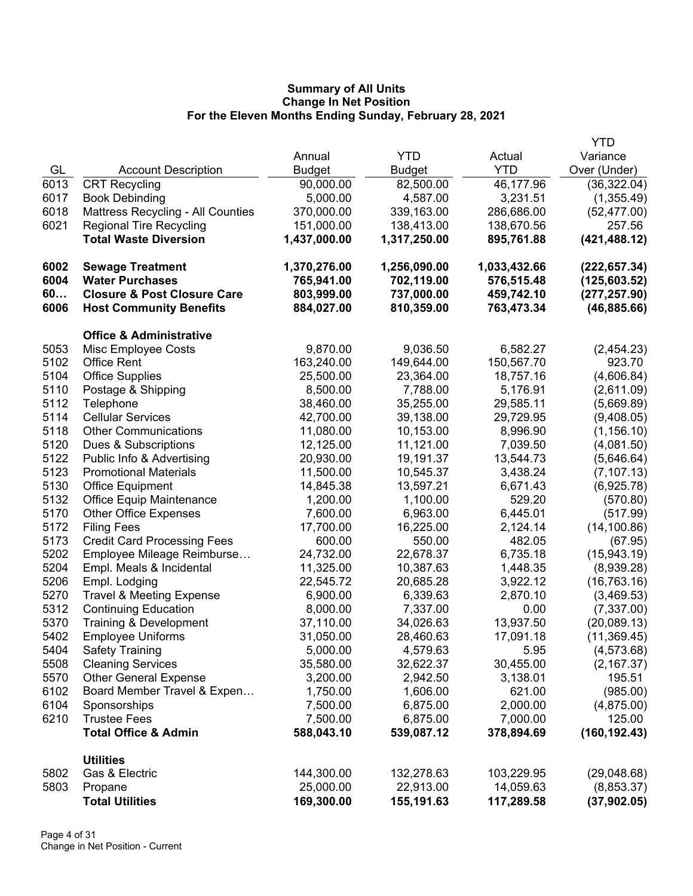|      |                                          |              |               |              | <b>YTD</b>    |
|------|------------------------------------------|--------------|---------------|--------------|---------------|
|      |                                          | Annual       | <b>YTD</b>    | Actual       | Variance      |
| GL   | <b>Account Description</b>               | Budget       | <b>Budget</b> | <b>YTD</b>   | Over (Under)  |
| 6013 | <b>CRT Recycling</b>                     | 90,000.00    | 82,500.00     | 46,177.96    | (36, 322.04)  |
| 6017 | <b>Book Debinding</b>                    | 5,000.00     | 4,587.00      | 3,231.51     | (1,355.49)    |
| 6018 | <b>Mattress Recycling - All Counties</b> | 370,000.00   | 339,163.00    | 286,686.00   | (52, 477.00)  |
| 6021 | <b>Regional Tire Recycling</b>           | 151,000.00   | 138,413.00    | 138,670.56   | 257.56        |
|      | <b>Total Waste Diversion</b>             | 1,437,000.00 | 1,317,250.00  | 895,761.88   | (421, 488.12) |
| 6002 | <b>Sewage Treatment</b>                  | 1,370,276.00 | 1,256,090.00  | 1,033,432.66 | (222, 657.34) |
| 6004 | <b>Water Purchases</b>                   | 765,941.00   | 702,119.00    | 576,515.48   | (125,603.52)  |
| 60   | <b>Closure &amp; Post Closure Care</b>   | 803,999.00   | 737,000.00    | 459,742.10   | (277, 257.90) |
| 6006 | <b>Host Community Benefits</b>           | 884,027.00   | 810,359.00    | 763,473.34   | (46, 885.66)  |
|      | <b>Office &amp; Administrative</b>       |              |               |              |               |
| 5053 | Misc Employee Costs                      | 9,870.00     | 9,036.50      | 6,582.27     | (2,454.23)    |
| 5102 | <b>Office Rent</b>                       | 163,240.00   | 149,644.00    | 150,567.70   | 923.70        |
| 5104 | <b>Office Supplies</b>                   | 25,500.00    | 23,364.00     | 18,757.16    | (4,606.84)    |
| 5110 | Postage & Shipping                       | 8,500.00     | 7,788.00      | 5,176.91     | (2,611.09)    |
| 5112 | Telephone                                | 38,460.00    | 35,255.00     | 29,585.11    | (5,669.89)    |
| 5114 | <b>Cellular Services</b>                 | 42,700.00    | 39,138.00     | 29,729.95    | (9,408.05)    |
| 5118 | <b>Other Communications</b>              | 11,080.00    | 10,153.00     | 8,996.90     | (1, 156.10)   |
| 5120 | Dues & Subscriptions                     | 12,125.00    | 11,121.00     | 7,039.50     | (4,081.50)    |
| 5122 | Public Info & Advertising                | 20,930.00    | 19,191.37     | 13,544.73    | (5,646.64)    |
| 5123 | <b>Promotional Materials</b>             | 11,500.00    | 10,545.37     | 3,438.24     | (7, 107.13)   |
| 5130 | <b>Office Equipment</b>                  | 14,845.38    | 13,597.21     | 6,671.43     | (6,925.78)    |
| 5132 | Office Equip Maintenance                 | 1,200.00     | 1,100.00      | 529.20       | (570.80)      |
| 5170 | <b>Other Office Expenses</b>             | 7,600.00     | 6,963.00      | 6,445.01     | (517.99)      |
| 5172 | <b>Filing Fees</b>                       | 17,700.00    | 16,225.00     | 2,124.14     | (14, 100.86)  |
| 5173 | <b>Credit Card Processing Fees</b>       | 600.00       | 550.00        | 482.05       | (67.95)       |
| 5202 | Employee Mileage Reimburse               | 24,732.00    | 22,678.37     | 6,735.18     | (15,943.19)   |
| 5204 | Empl. Meals & Incidental                 | 11,325.00    | 10,387.63     | 1,448.35     | (8,939.28)    |
| 5206 | Empl. Lodging                            | 22,545.72    | 20,685.28     | 3,922.12     | (16, 763.16)  |
| 5270 | <b>Travel &amp; Meeting Expense</b>      | 6,900.00     | 6,339.63      | 2,870.10     | (3,469.53)    |
| 5312 | <b>Continuing Education</b>              | 8,000.00     | 7,337.00      | 0.00         | (7, 337.00)   |
| 5370 | Training & Development                   | 37,110.00    | 34,026.63     | 13,937.50    | (20,089.13)   |
| 5402 | <b>Employee Uniforms</b>                 | 31,050.00    | 28,460.63     | 17,091.18    | (11, 369.45)  |
| 5404 | <b>Safety Training</b>                   | 5,000.00     | 4,579.63      | 5.95         | (4, 573.68)   |
| 5508 | <b>Cleaning Services</b>                 | 35,580.00    | 32,622.37     | 30,455.00    | (2, 167.37)   |
| 5570 | <b>Other General Expense</b>             | 3,200.00     | 2,942.50      | 3,138.01     | 195.51        |
| 6102 | Board Member Travel & Expen              | 1,750.00     | 1,606.00      | 621.00       | (985.00)      |
| 6104 | Sponsorships                             | 7,500.00     | 6,875.00      | 2,000.00     | (4,875.00)    |
| 6210 | <b>Trustee Fees</b>                      | 7,500.00     | 6,875.00      | 7,000.00     | 125.00        |
|      | <b>Total Office &amp; Admin</b>          | 588,043.10   | 539,087.12    | 378,894.69   | (160, 192.43) |
|      | <b>Utilities</b>                         |              |               |              |               |
| 5802 | Gas & Electric                           | 144,300.00   | 132,278.63    | 103,229.95   | (29,048.68)   |
| 5803 | Propane                                  | 25,000.00    | 22,913.00     | 14,059.63    | (8,853.37)    |
|      | <b>Total Utilities</b>                   | 169,300.00   | 155,191.63    | 117,289.58   | (37, 902.05)  |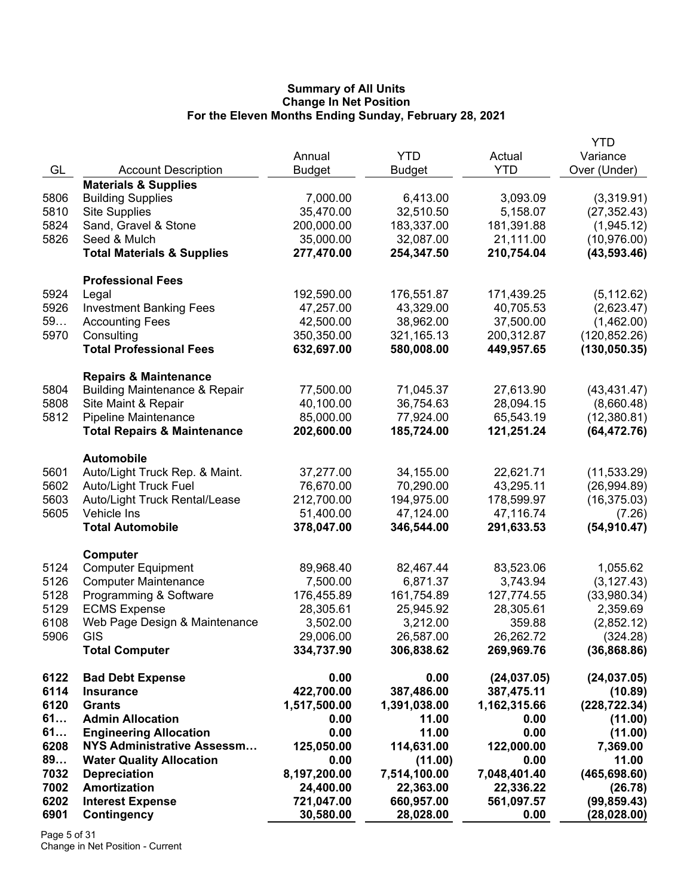|              |                                          |               |              |              | <b>YTD</b>    |
|--------------|------------------------------------------|---------------|--------------|--------------|---------------|
|              |                                          | Annual        | <b>YTD</b>   | Actual       | Variance      |
| GL           | <b>Account Description</b>               | <b>Budget</b> | Budget       | <b>YTD</b>   | Over (Under)  |
|              | <b>Materials &amp; Supplies</b>          |               |              |              |               |
| 5806         | <b>Building Supplies</b>                 | 7,000.00      | 6,413.00     | 3,093.09     | (3,319.91)    |
| 5810         | <b>Site Supplies</b>                     | 35,470.00     | 32,510.50    | 5,158.07     | (27, 352.43)  |
| 5824         | Sand, Gravel & Stone                     | 200,000.00    | 183,337.00   | 181,391.88   | (1,945.12)    |
| 5826         | Seed & Mulch                             | 35,000.00     | 32,087.00    | 21,111.00    | (10, 976.00)  |
|              | <b>Total Materials &amp; Supplies</b>    | 277,470.00    | 254,347.50   | 210,754.04   | (43, 593.46)  |
|              | <b>Professional Fees</b>                 |               |              |              |               |
| 5924         | Legal                                    | 192,590.00    | 176,551.87   | 171,439.25   | (5, 112.62)   |
| 5926         | <b>Investment Banking Fees</b>           | 47,257.00     | 43,329.00    | 40,705.53    | (2,623.47)    |
| 59           | <b>Accounting Fees</b>                   | 42,500.00     | 38,962.00    | 37,500.00    | (1,462.00)    |
| 5970         | Consulting                               | 350,350.00    | 321,165.13   | 200,312.87   | (120, 852.26) |
|              | <b>Total Professional Fees</b>           | 632,697.00    | 580,008.00   | 449,957.65   | (130, 050.35) |
|              |                                          |               |              |              |               |
|              | <b>Repairs &amp; Maintenance</b>         |               |              |              |               |
| 5804         | <b>Building Maintenance &amp; Repair</b> | 77,500.00     | 71,045.37    | 27,613.90    | (43, 431.47)  |
| 5808         | Site Maint & Repair                      | 40,100.00     | 36,754.63    | 28,094.15    | (8,660.48)    |
| 5812         | <b>Pipeline Maintenance</b>              | 85,000.00     | 77,924.00    | 65,543.19    | (12,380.81)   |
|              | <b>Total Repairs &amp; Maintenance</b>   | 202,600.00    | 185,724.00   | 121,251.24   | (64, 472.76)  |
|              | <b>Automobile</b>                        |               |              |              |               |
| 5601         | Auto/Light Truck Rep. & Maint.           | 37,277.00     | 34,155.00    | 22,621.71    | (11, 533.29)  |
| 5602         | <b>Auto/Light Truck Fuel</b>             | 76,670.00     | 70,290.00    | 43,295.11    | (26,994.89)   |
| 5603         | Auto/Light Truck Rental/Lease            | 212,700.00    | 194,975.00   | 178,599.97   | (16, 375.03)  |
| 5605         | Vehicle Ins                              | 51,400.00     | 47,124.00    | 47,116.74    | (7.26)        |
|              | <b>Total Automobile</b>                  | 378,047.00    | 346,544.00   | 291,633.53   | (54, 910.47)  |
|              |                                          |               |              |              |               |
|              | Computer                                 |               |              |              |               |
| 5124         | <b>Computer Equipment</b>                | 89,968.40     | 82,467.44    | 83,523.06    | 1,055.62      |
| 5126         | <b>Computer Maintenance</b>              | 7,500.00      | 6,871.37     | 3,743.94     | (3, 127.43)   |
| 5128         | Programming & Software                   | 176,455.89    | 161,754.89   | 127,774.55   | (33,980.34)   |
| 5129         | <b>ECMS Expense</b>                      | 28,305.61     | 25,945.92    | 28,305.61    | 2,359.69      |
| 6108<br>5906 | Web Page Design & Maintenance            | 3,502.00      | 3,212.00     | 359.88       | (2,852.12)    |
|              | GIS                                      | 29,006.00     | 26,587.00    | 26,262.72    | (324.28)      |
|              | <b>Total Computer</b>                    | 334,737.90    | 306,838.62   | 269,969.76   | (36,868.86)   |
| 6122         | <b>Bad Debt Expense</b>                  | 0.00          | 0.00         | (24, 037.05) | (24, 037.05)  |
| 6114         | <b>Insurance</b>                         | 422,700.00    | 387,486.00   | 387,475.11   | (10.89)       |
| 6120         | <b>Grants</b>                            | 1,517,500.00  | 1,391,038.00 | 1,162,315.66 | (228, 722.34) |
| 61           | <b>Admin Allocation</b>                  | 0.00          | 11.00        | 0.00         | (11.00)       |
| 61           | <b>Engineering Allocation</b>            | 0.00          | 11.00        | 0.00         | (11.00)       |
| 6208         | <b>NYS Administrative Assessm</b>        | 125,050.00    | 114,631.00   | 122,000.00   | 7,369.00      |
| 89           | <b>Water Quality Allocation</b>          | 0.00          | (11.00)      | 0.00         | 11.00         |
| 7032         | <b>Depreciation</b>                      | 8,197,200.00  | 7,514,100.00 | 7,048,401.40 | (465, 698.60) |
| 7002         | <b>Amortization</b>                      | 24,400.00     | 22,363.00    | 22,336.22    | (26.78)       |
| 6202         | <b>Interest Expense</b>                  | 721,047.00    | 660,957.00   | 561,097.57   | (99, 859.43)  |
| 6901         | Contingency                              | 30,580.00     | 28,028.00    | 0.00         | (28, 028.00)  |

Page 5 of 31 Change in Net Position - Current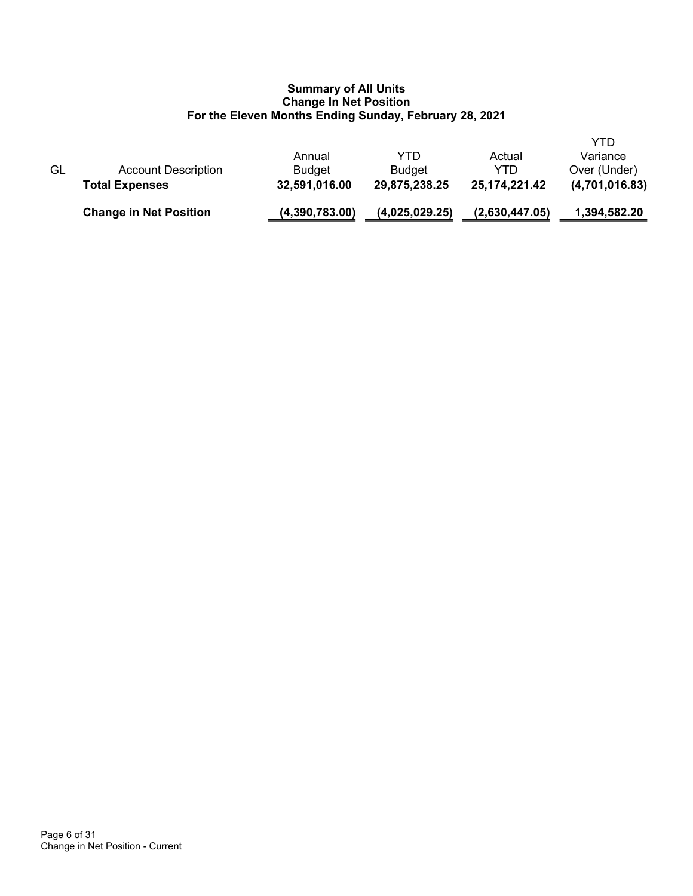|    | <b>Change in Net Position</b> | (4,390,783.00) | (4,025,029.25) | (2,630,447.05)   | 1,394,582.20   |
|----|-------------------------------|----------------|----------------|------------------|----------------|
|    | <b>Total Expenses</b>         | 32,591,016.00  | 29,875,238.25  | 25, 174, 221. 42 | (4,701,016.83) |
| GL | Account Description           | <b>Budget</b>  | <b>Budget</b>  | YTD              | Over (Under)   |
|    |                               | Annual         | YTD            | Actual           | Variance       |
|    |                               |                |                |                  | YTD            |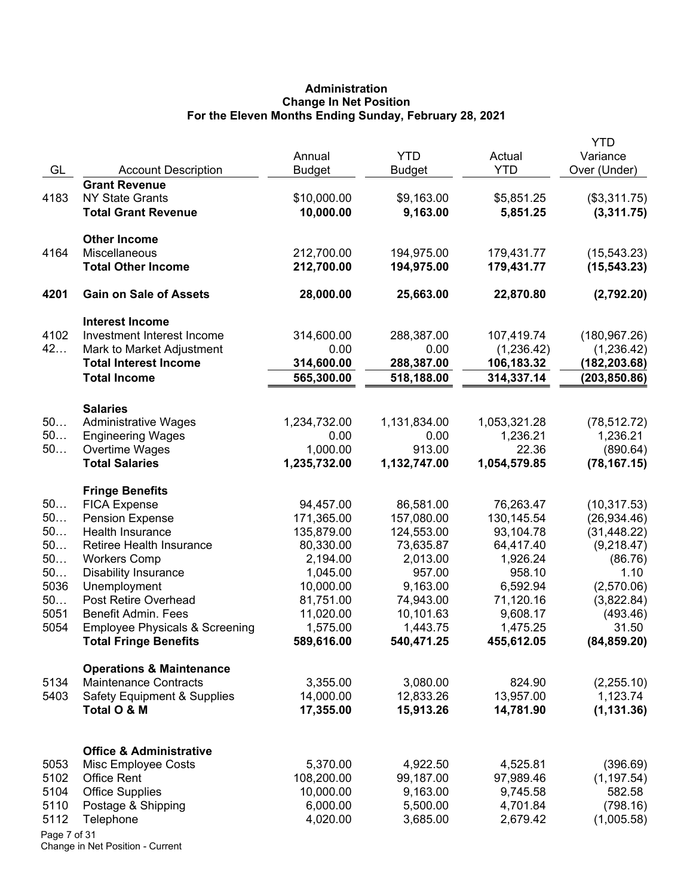# **Administration Change In Net Position For the Eleven Months Ending Sunday, February 28, 2021**

|              |                                                                           | Annual                | <b>YTD</b>             | Actual                 | <b>YTD</b><br>Variance |
|--------------|---------------------------------------------------------------------------|-----------------------|------------------------|------------------------|------------------------|
| GL           | <b>Account Description</b>                                                | <b>Budget</b>         | <b>Budget</b>          | <b>YTD</b>             | Over (Under)           |
|              | <b>Grant Revenue</b>                                                      |                       |                        |                        |                        |
| 4183         | <b>NY State Grants</b>                                                    | \$10,000.00           | \$9,163.00             | \$5,851.25             | (\$3,311.75)           |
|              | <b>Total Grant Revenue</b>                                                | 10,000.00             | 9,163.00               | 5,851.25               | (3,311.75)             |
|              | <b>Other Income</b>                                                       |                       |                        |                        |                        |
| 4164         | Miscellaneous                                                             | 212,700.00            | 194,975.00             | 179,431.77             | (15, 543.23)           |
|              | <b>Total Other Income</b>                                                 | 212,700.00            | 194,975.00             | 179,431.77             | (15, 543.23)           |
| 4201         | <b>Gain on Sale of Assets</b>                                             | 28,000.00             | 25,663.00              | 22,870.80              | (2,792.20)             |
|              | <b>Interest Income</b>                                                    |                       |                        |                        |                        |
| 4102         | Investment Interest Income                                                | 314,600.00            | 288,387.00             | 107,419.74             | (180, 967.26)          |
| 42           | Mark to Market Adjustment                                                 | 0.00                  | 0.00                   | (1,236.42)             | (1,236.42)             |
|              | <b>Total Interest Income</b>                                              | 314,600.00            | 288,387.00             | 106,183.32             | (182, 203.68)          |
|              | <b>Total Income</b>                                                       | 565,300.00            | 518,188.00             | 314,337.14             | (203, 850.86)          |
|              | <b>Salaries</b>                                                           |                       |                        |                        |                        |
| 50           | <b>Administrative Wages</b>                                               | 1,234,732.00          | 1,131,834.00           | 1,053,321.28           | (78, 512.72)           |
| 50           | <b>Engineering Wages</b>                                                  | 0.00                  | 0.00                   | 1,236.21               | 1,236.21               |
| 50           | Overtime Wages                                                            | 1,000.00              | 913.00                 | 22.36                  | (890.64)               |
|              | <b>Total Salaries</b>                                                     | 1,235,732.00          | 1,132,747.00           | 1,054,579.85           | (78, 167.15)           |
|              | <b>Fringe Benefits</b>                                                    |                       |                        |                        |                        |
| 50           | <b>FICA Expense</b>                                                       | 94,457.00             | 86,581.00              | 76,263.47              | (10, 317.53)           |
| 50           | <b>Pension Expense</b>                                                    | 171,365.00            | 157,080.00             | 130, 145.54            | (26, 934.46)           |
| 50           | Health Insurance                                                          | 135,879.00            | 124,553.00             | 93,104.78              | (31, 448.22)           |
| 50           | Retiree Health Insurance                                                  | 80,330.00             | 73,635.87              | 64,417.40              | (9,218.47)             |
| 50           | <b>Workers Comp</b>                                                       | 2,194.00              | 2,013.00               | 1,926.24               | (86.76)                |
| 50           | <b>Disability Insurance</b>                                               | 1,045.00              | 957.00                 | 958.10                 | 1.10                   |
| 5036         | Unemployment                                                              | 10,000.00             | 9,163.00               | 6,592.94               | (2,570.06)             |
| 50           | Post Retire Overhead                                                      | 81,751.00             | 74,943.00              | 71,120.16              | (3,822.84)             |
| 5051<br>5054 | Benefit Admin. Fees                                                       | 11,020.00<br>1,575.00 | 10,101.63              | 9,608.17               | (493.46)               |
|              | <b>Employee Physicals &amp; Screening</b><br><b>Total Fringe Benefits</b> | 589,616.00            | 1,443.75<br>540,471.25 | 1,475.25<br>455,612.05 | 31.50<br>(84, 859.20)  |
|              | <b>Operations &amp; Maintenance</b>                                       |                       |                        |                        |                        |
| 5134         | <b>Maintenance Contracts</b>                                              | 3,355.00              | 3,080.00               | 824.90                 | (2,255.10)             |
| 5403         | <b>Safety Equipment &amp; Supplies</b>                                    | 14,000.00             | 12,833.26              | 13,957.00              | 1,123.74               |
|              | Total O & M                                                               | 17,355.00             | 15,913.26              | 14,781.90              | (1, 131.36)            |
|              |                                                                           |                       |                        |                        |                        |
|              | <b>Office &amp; Administrative</b>                                        |                       |                        |                        |                        |
| 5053         | Misc Employee Costs                                                       | 5,370.00              | 4,922.50               | 4,525.81               | (396.69)               |
| 5102         | <b>Office Rent</b>                                                        | 108,200.00            | 99,187.00              | 97,989.46              | (1, 197.54)            |
| 5104         | <b>Office Supplies</b>                                                    | 10,000.00             | 9,163.00               | 9,745.58               | 582.58                 |
| 5110         | Postage & Shipping                                                        | 6,000.00              | 5,500.00               | 4,701.84               | (798.16)               |
| 5112         | Telephone                                                                 | 4,020.00              | 3,685.00               | 2,679.42               | (1,005.58)             |
| Page 7 of 31 |                                                                           |                       |                        |                        |                        |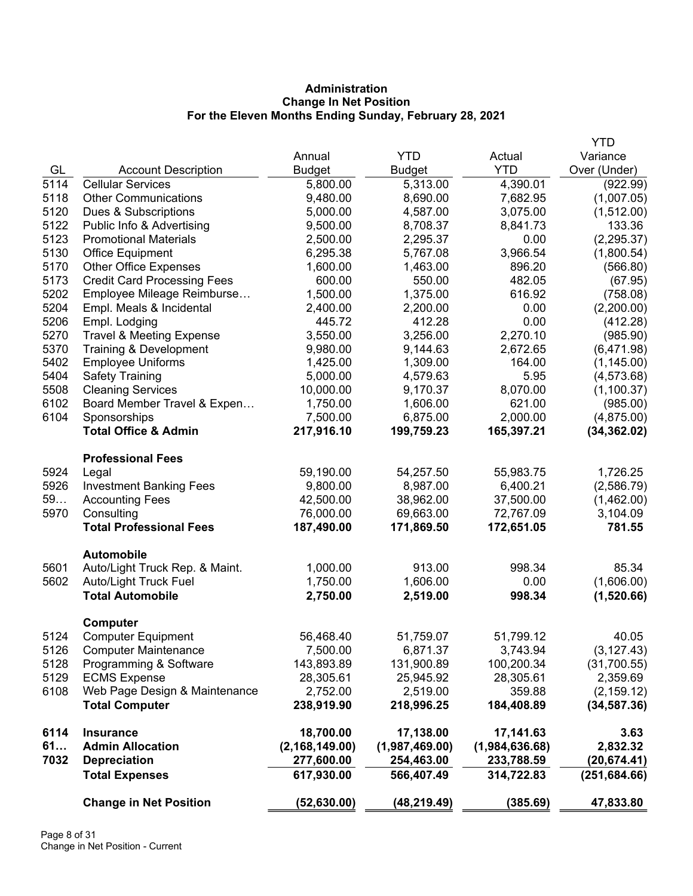# **Administration Change In Net Position For the Eleven Months Ending Sunday, February 28, 2021**

|      |                                     |                  |                |                | <b>YTD</b>    |
|------|-------------------------------------|------------------|----------------|----------------|---------------|
|      |                                     | Annual           | <b>YTD</b>     | Actual         | Variance      |
| GL   | <b>Account Description</b>          | <b>Budget</b>    | <b>Budget</b>  | <b>YTD</b>     | Over (Under)  |
| 5114 | <b>Cellular Services</b>            | 5,800.00         | 5,313.00       | 4,390.01       | (922.99)      |
| 5118 | <b>Other Communications</b>         | 9,480.00         | 8,690.00       | 7,682.95       | (1,007.05)    |
| 5120 | Dues & Subscriptions                | 5,000.00         | 4,587.00       | 3,075.00       | (1,512.00)    |
| 5122 | Public Info & Advertising           | 9,500.00         | 8,708.37       | 8,841.73       | 133.36        |
| 5123 | <b>Promotional Materials</b>        | 2,500.00         | 2,295.37       | 0.00           | (2, 295.37)   |
| 5130 | Office Equipment                    | 6,295.38         | 5,767.08       | 3,966.54       | (1,800.54)    |
| 5170 | <b>Other Office Expenses</b>        | 1,600.00         | 1,463.00       | 896.20         | (566.80)      |
| 5173 | <b>Credit Card Processing Fees</b>  | 600.00           | 550.00         | 482.05         | (67.95)       |
| 5202 | Employee Mileage Reimburse          | 1,500.00         | 1,375.00       | 616.92         | (758.08)      |
| 5204 | Empl. Meals & Incidental            | 2,400.00         | 2,200.00       | 0.00           | (2,200.00)    |
| 5206 | Empl. Lodging                       | 445.72           | 412.28         | 0.00           | (412.28)      |
| 5270 | <b>Travel &amp; Meeting Expense</b> | 3,550.00         | 3,256.00       | 2,270.10       | (985.90)      |
| 5370 | Training & Development              | 9,980.00         | 9,144.63       | 2,672.65       | (6,471.98)    |
| 5402 | <b>Employee Uniforms</b>            | 1,425.00         | 1,309.00       | 164.00         | (1, 145.00)   |
| 5404 | <b>Safety Training</b>              | 5,000.00         | 4,579.63       | 5.95           | (4,573.68)    |
| 5508 | <b>Cleaning Services</b>            | 10,000.00        | 9,170.37       | 8,070.00       | (1, 100.37)   |
| 6102 | Board Member Travel & Expen         | 1,750.00         | 1,606.00       | 621.00         | (985.00)      |
| 6104 | Sponsorships                        | 7,500.00         | 6,875.00       | 2,000.00       | (4,875.00)    |
|      | <b>Total Office &amp; Admin</b>     | 217,916.10       | 199,759.23     | 165,397.21     | (34, 362.02)  |
|      | <b>Professional Fees</b>            |                  |                |                |               |
| 5924 | Legal                               | 59,190.00        | 54,257.50      | 55,983.75      | 1,726.25      |
| 5926 | <b>Investment Banking Fees</b>      | 9,800.00         | 8,987.00       | 6,400.21       | (2,586.79)    |
| 59   | <b>Accounting Fees</b>              | 42,500.00        | 38,962.00      | 37,500.00      | (1,462.00)    |
| 5970 | Consulting                          | 76,000.00        | 69,663.00      | 72,767.09      | 3,104.09      |
|      | <b>Total Professional Fees</b>      | 187,490.00       | 171,869.50     | 172,651.05     | 781.55        |
|      | <b>Automobile</b>                   |                  |                |                |               |
| 5601 | Auto/Light Truck Rep. & Maint.      | 1,000.00         | 913.00         | 998.34         | 85.34         |
| 5602 | Auto/Light Truck Fuel               | 1,750.00         | 1,606.00       | 0.00           | (1,606.00)    |
|      | <b>Total Automobile</b>             | 2,750.00         | 2,519.00       | 998.34         | (1,520.66)    |
|      | <b>Computer</b>                     |                  |                |                |               |
| 5124 | <b>Computer Equipment</b>           | 56,468.40        | 51,759.07      | 51,799.12      | 40.05         |
| 5126 | <b>Computer Maintenance</b>         | 7,500.00         | 6,871.37       | 3,743.94       | (3, 127.43)   |
| 5128 | Programming & Software              | 143,893.89       | 131,900.89     | 100,200.34     | (31,700.55)   |
| 5129 | <b>ECMS Expense</b>                 | 28,305.61        | 25,945.92      | 28,305.61      | 2,359.69      |
| 6108 | Web Page Design & Maintenance       | 2,752.00         | 2,519.00       | 359.88         | (2, 159.12)   |
|      | <b>Total Computer</b>               | 238,919.90       | 218,996.25     | 184,408.89     | (34, 587.36)  |
| 6114 | <b>Insurance</b>                    | 18,700.00        | 17,138.00      | 17,141.63      | 3.63          |
| 61   | <b>Admin Allocation</b>             | (2, 168, 149.00) | (1,987,469.00) | (1,984,636.68) | 2,832.32      |
| 7032 | <b>Depreciation</b>                 | 277,600.00       | 254,463.00     | 233,788.59     | (20,674.41)   |
|      | <b>Total Expenses</b>               | 617,930.00       | 566,407.49     | 314,722.83     | (251, 684.66) |
|      | <b>Change in Net Position</b>       | (52, 630.00)     | (48, 219.49)   | (385.69)       | 47,833.80     |
|      |                                     |                  |                |                |               |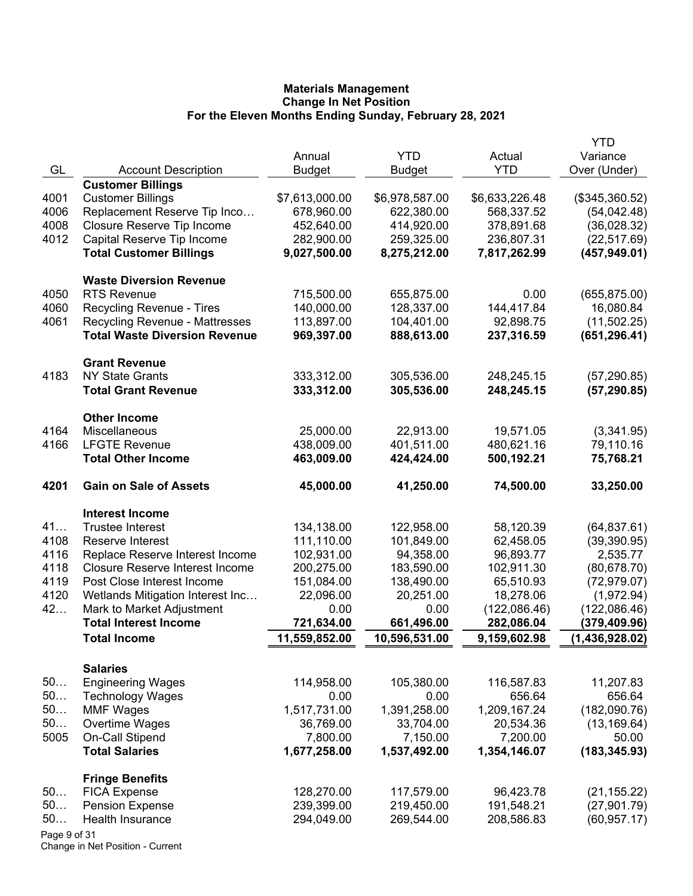|              |                                                |                            |                |                | YTD            |
|--------------|------------------------------------------------|----------------------------|----------------|----------------|----------------|
|              |                                                | Annual                     | <b>YTD</b>     | Actual         | Variance       |
| GL           | <b>Account Description</b>                     | <b>Budget</b>              | <b>Budget</b>  | <b>YTD</b>     | Over (Under)   |
|              | <b>Customer Billings</b>                       |                            |                |                |                |
| 4001<br>4006 | <b>Customer Billings</b>                       | \$7,613,000.00             | \$6,978,587.00 | \$6,633,226.48 | (\$345,360.52) |
|              | Replacement Reserve Tip Inco                   | 678,960.00                 | 622,380.00     | 568,337.52     | (54, 042.48)   |
| 4008         | Closure Reserve Tip Income                     | 452,640.00                 | 414,920.00     | 378,891.68     | (36,028.32)    |
| 4012         | Capital Reserve Tip Income                     | 282,900.00<br>9,027,500.00 | 259,325.00     | 236,807.31     | (22, 517.69)   |
|              | <b>Total Customer Billings</b>                 |                            | 8,275,212.00   | 7,817,262.99   | (457, 949.01)  |
|              | <b>Waste Diversion Revenue</b>                 |                            |                |                |                |
| 4050         | <b>RTS Revenue</b>                             | 715,500.00                 | 655,875.00     | 0.00           | (655, 875.00)  |
| 4060         | Recycling Revenue - Tires                      | 140,000.00                 | 128,337.00     | 144,417.84     | 16,080.84      |
| 4061         | <b>Recycling Revenue - Mattresses</b>          | 113,897.00                 | 104,401.00     | 92,898.75      | (11,502.25)    |
|              | <b>Total Waste Diversion Revenue</b>           | 969,397.00                 | 888,613.00     | 237,316.59     | (651, 296.41)  |
|              |                                                |                            |                |                |                |
| 4183         | <b>Grant Revenue</b><br><b>NY State Grants</b> | 333,312.00                 | 305,536.00     | 248,245.15     | (57, 290.85)   |
|              | <b>Total Grant Revenue</b>                     | 333,312.00                 | 305,536.00     | 248,245.15     | (57, 290.85)   |
|              |                                                |                            |                |                |                |
|              | <b>Other Income</b>                            |                            |                |                |                |
| 4164         | Miscellaneous                                  | 25,000.00                  | 22,913.00      | 19,571.05      | (3,341.95)     |
| 4166         | <b>LFGTE Revenue</b>                           | 438,009.00                 | 401,511.00     | 480,621.16     | 79,110.16      |
|              | <b>Total Other Income</b>                      | 463,009.00                 | 424,424.00     | 500,192.21     | 75,768.21      |
| 4201         | <b>Gain on Sale of Assets</b>                  | 45,000.00                  | 41,250.00      | 74,500.00      | 33,250.00      |
|              | <b>Interest Income</b>                         |                            |                |                |                |
| 41           | <b>Trustee Interest</b>                        | 134,138.00                 | 122,958.00     | 58,120.39      | (64, 837.61)   |
| 4108         | Reserve Interest                               | 111,110.00                 | 101,849.00     | 62,458.05      | (39, 390.95)   |
| 4116         | Replace Reserve Interest Income                | 102,931.00                 | 94,358.00      | 96,893.77      | 2,535.77       |
| 4118         | <b>Closure Reserve Interest Income</b>         | 200,275.00                 | 183,590.00     | 102,911.30     | (80, 678.70)   |
| 4119         | Post Close Interest Income                     | 151,084.00                 | 138,490.00     | 65,510.93      | (72, 979.07)   |
| 4120         | Wetlands Mitigation Interest Inc               | 22,096.00                  | 20,251.00      | 18,278.06      | (1,972.94)     |
| 42           | Mark to Market Adjustment                      | 0.00                       | 0.00           | (122,086.46)   | (122,086.46)   |
|              | <b>Total Interest Income</b>                   | 721,634.00                 | 661,496.00     | 282,086.04     | (379,409.96)   |
|              | <b>Total Income</b>                            | 11,559,852.00              | 10,596,531.00  | 9,159,602.98   | (1,436,928.02) |
|              |                                                |                            |                |                |                |
|              | <b>Salaries</b>                                |                            |                |                |                |
| 50           | <b>Engineering Wages</b>                       | 114,958.00                 | 105,380.00     | 116,587.83     | 11,207.83      |
| 50           | <b>Technology Wages</b>                        | 0.00                       | 0.00           | 656.64         | 656.64         |
| 50           | <b>MMF Wages</b>                               | 1,517,731.00               | 1,391,258.00   | 1,209,167.24   | (182,090.76)   |
| 50           | Overtime Wages                                 | 36,769.00                  | 33,704.00      | 20,534.36      | (13, 169.64)   |
| 5005         | On-Call Stipend                                | 7,800.00                   | 7,150.00       | 7,200.00       | 50.00          |
|              | <b>Total Salaries</b>                          | 1,677,258.00               | 1,537,492.00   | 1,354,146.07   | (183, 345.93)  |
|              | <b>Fringe Benefits</b>                         |                            |                |                |                |
| 50           | <b>FICA Expense</b>                            | 128,270.00                 | 117,579.00     | 96,423.78      | (21, 155.22)   |
| 50           | <b>Pension Expense</b>                         | 239,399.00                 | 219,450.00     | 191,548.21     | (27, 901.79)   |
| 50           | Health Insurance                               | 294,049.00                 | 269,544.00     | 208,586.83     | (60, 957.17)   |
| Page 9 of 31 |                                                |                            |                |                |                |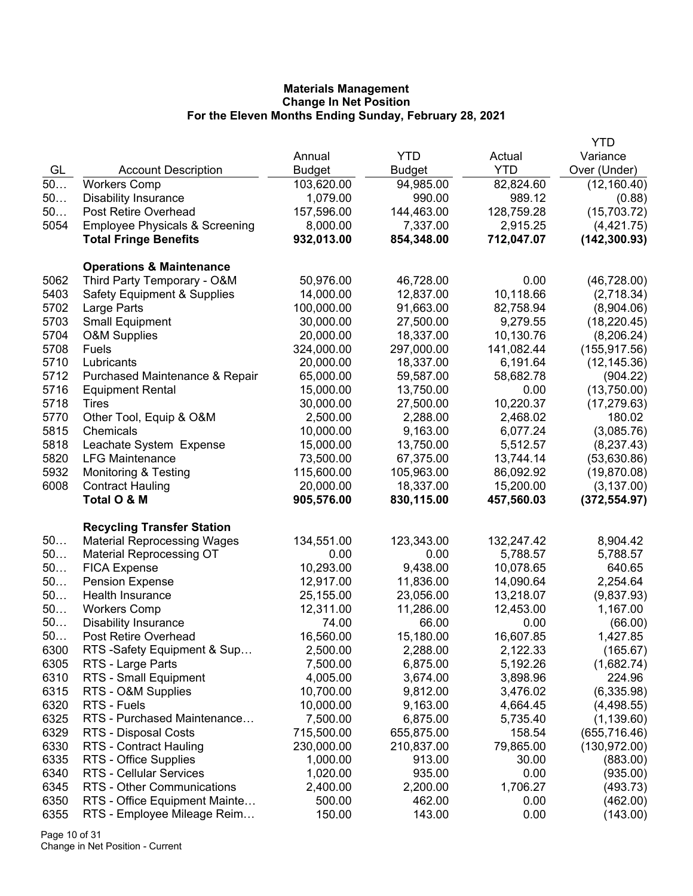|      |                                           |            |            |            | <b>YTD</b>    |
|------|-------------------------------------------|------------|------------|------------|---------------|
|      |                                           | Annual     | <b>YTD</b> | Actual     | Variance      |
| GL   | <b>Account Description</b>                | Budget     | Budget     | <b>YTD</b> | Over (Under)  |
| 50   | <b>Workers Comp</b>                       | 103,620.00 | 94,985.00  | 82,824.60  | (12, 160.40)  |
| 50   | <b>Disability Insurance</b>               | 1,079.00   | 990.00     | 989.12     | (0.88)        |
| 50   | Post Retire Overhead                      | 157,596.00 | 144,463.00 | 128,759.28 | (15,703.72)   |
| 5054 | <b>Employee Physicals &amp; Screening</b> | 8,000.00   | 7,337.00   | 2,915.25   | (4,421.75)    |
|      | <b>Total Fringe Benefits</b>              | 932,013.00 | 854,348.00 | 712,047.07 | (142, 300.93) |
|      | <b>Operations &amp; Maintenance</b>       |            |            |            |               |
| 5062 | Third Party Temporary - O&M               | 50,976.00  | 46,728.00  | 0.00       | (46, 728.00)  |
| 5403 | <b>Safety Equipment &amp; Supplies</b>    | 14,000.00  | 12,837.00  | 10,118.66  | (2,718.34)    |
| 5702 | Large Parts                               | 100,000.00 | 91,663.00  | 82,758.94  | (8,904.06)    |
| 5703 | <b>Small Equipment</b>                    | 30,000.00  | 27,500.00  | 9,279.55   | (18, 220.45)  |
| 5704 | <b>O&amp;M Supplies</b>                   | 20,000.00  | 18,337.00  | 10,130.76  | (8,206.24)    |
| 5708 | Fuels                                     | 324,000.00 | 297,000.00 | 141,082.44 | (155, 917.56) |
| 5710 | Lubricants                                | 20,000.00  | 18,337.00  | 6,191.64   | (12, 145.36)  |
| 5712 | Purchased Maintenance & Repair            | 65,000.00  | 59,587.00  | 58,682.78  | (904.22)      |
| 5716 | <b>Equipment Rental</b>                   | 15,000.00  | 13,750.00  | 0.00       | (13,750.00)   |
| 5718 | Tires                                     | 30,000.00  | 27,500.00  | 10,220.37  | (17, 279.63)  |
| 5770 | Other Tool, Equip & O&M                   | 2,500.00   | 2,288.00   | 2,468.02   | 180.02        |
| 5815 | Chemicals                                 | 10,000.00  | 9,163.00   | 6,077.24   | (3,085.76)    |
| 5818 | Leachate System Expense                   | 15,000.00  | 13,750.00  | 5,512.57   | (8, 237.43)   |
| 5820 | <b>LFG Maintenance</b>                    | 73,500.00  | 67,375.00  | 13,744.14  | (53,630.86)   |
| 5932 | <b>Monitoring &amp; Testing</b>           | 115,600.00 | 105,963.00 | 86,092.92  | (19, 870.08)  |
| 6008 | <b>Contract Hauling</b>                   | 20,000.00  | 18,337.00  | 15,200.00  | (3, 137.00)   |
|      | Total O & M                               | 905,576.00 | 830,115.00 | 457,560.03 | (372, 554.97) |
|      | <b>Recycling Transfer Station</b>         |            |            |            |               |
| 50   | <b>Material Reprocessing Wages</b>        | 134,551.00 | 123,343.00 | 132,247.42 | 8,904.42      |
| 50   | <b>Material Reprocessing OT</b>           | 0.00       | 0.00       | 5,788.57   | 5,788.57      |
| 50   | <b>FICA Expense</b>                       | 10,293.00  | 9,438.00   | 10,078.65  | 640.65        |
| 50   | <b>Pension Expense</b>                    | 12,917.00  | 11,836.00  | 14,090.64  | 2,254.64      |
| 50   | Health Insurance                          | 25,155.00  | 23,056.00  | 13,218.07  | (9,837.93)    |
| 50   | <b>Workers Comp</b>                       | 12,311.00  | 11,286.00  | 12,453.00  | 1,167.00      |
| 50   | <b>Disability Insurance</b>               | 74.00      | 66.00      | 0.00       | (66.00)       |
| 50   | Post Retire Overhead                      | 16,560.00  | 15,180.00  | 16,607.85  | 1,427.85      |
| 6300 | RTS-Safety Equipment & Sup                | 2,500.00   | 2,288.00   | 2,122.33   | (165.67)      |
| 6305 | RTS - Large Parts                         | 7,500.00   | 6,875.00   | 5,192.26   | (1,682.74)    |
| 6310 | RTS - Small Equipment                     | 4,005.00   | 3,674.00   | 3,898.96   | 224.96        |
| 6315 | RTS - O&M Supplies                        | 10,700.00  | 9,812.00   | 3,476.02   | (6,335.98)    |
| 6320 | RTS - Fuels                               | 10,000.00  | 9,163.00   | 4,664.45   | (4,498.55)    |
| 6325 | RTS - Purchased Maintenance               | 7,500.00   | 6,875.00   | 5,735.40   | (1, 139.60)   |
| 6329 | RTS - Disposal Costs                      | 715,500.00 | 655,875.00 | 158.54     | (655, 716.46) |
| 6330 | RTS - Contract Hauling                    | 230,000.00 | 210,837.00 | 79,865.00  | (130, 972.00) |
| 6335 | RTS - Office Supplies                     | 1,000.00   | 913.00     | 30.00      | (883.00)      |
| 6340 | RTS - Cellular Services                   | 1,020.00   | 935.00     | 0.00       | (935.00)      |
| 6345 | RTS - Other Communications                | 2,400.00   | 2,200.00   | 1,706.27   | (493.73)      |
| 6350 | RTS - Office Equipment Mainte             | 500.00     | 462.00     | 0.00       | (462.00)      |
| 6355 | RTS - Employee Mileage Reim               | 150.00     | 143.00     | 0.00       | (143.00)      |

Page 10 of 31 Change in Net Position - Current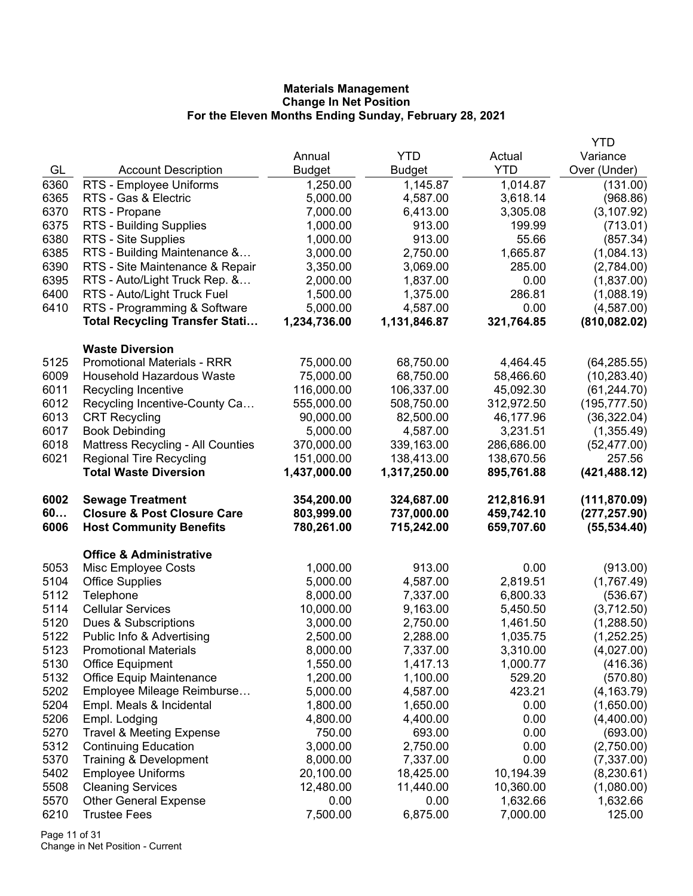|              |                                                                          |                          |                          |                          | <b>YTD</b>                    |
|--------------|--------------------------------------------------------------------------|--------------------------|--------------------------|--------------------------|-------------------------------|
|              |                                                                          | Annual                   | <b>YTD</b>               | Actual                   | Variance                      |
| GL           | <b>Account Description</b>                                               | <b>Budget</b>            | <b>Budget</b>            | <b>YTD</b>               | Over (Under)                  |
| 6360         | RTS - Employee Uniforms                                                  | 1,250.00                 | 1,145.87                 | 1,014.87                 | (131.00)                      |
| 6365         | RTS - Gas & Electric                                                     | 5,000.00                 | 4,587.00                 | 3,618.14                 | (968.86)                      |
| 6370         | RTS - Propane                                                            | 7,000.00                 | 6,413.00                 | 3,305.08                 | (3, 107.92)                   |
| 6375         | RTS - Building Supplies                                                  | 1,000.00                 | 913.00                   | 199.99                   | (713.01)                      |
| 6380         | RTS - Site Supplies                                                      | 1,000.00                 | 913.00                   | 55.66                    | (857.34)                      |
| 6385         | RTS - Building Maintenance &                                             | 3,000.00                 | 2,750.00                 | 1,665.87                 | (1,084.13)                    |
| 6390         | RTS - Site Maintenance & Repair                                          | 3,350.00                 | 3,069.00                 | 285.00                   | (2,784.00)                    |
| 6395         | RTS - Auto/Light Truck Rep. &                                            | 2,000.00                 | 1,837.00                 | 0.00                     | (1,837.00)                    |
| 6400         | RTS - Auto/Light Truck Fuel                                              | 1,500.00                 | 1,375.00                 | 286.81                   | (1,088.19)                    |
| 6410         | RTS - Programming & Software                                             | 5,000.00                 | 4,587.00                 | 0.00                     | (4,587.00)                    |
|              | <b>Total Recycling Transfer Stati</b>                                    | 1,234,736.00             | 1,131,846.87             | 321,764.85               | (810, 082.02)                 |
|              | <b>Waste Diversion</b>                                                   |                          |                          |                          |                               |
| 5125         | <b>Promotional Materials - RRR</b>                                       | 75,000.00                | 68,750.00                | 4,464.45                 | (64, 285.55)                  |
| 6009         | <b>Household Hazardous Waste</b>                                         | 75,000.00                | 68,750.00                | 58,466.60                | (10, 283.40)                  |
| 6011         | Recycling Incentive                                                      | 116,000.00               | 106,337.00               | 45,092.30                | (61, 244.70)                  |
| 6012         | Recycling Incentive-County Ca                                            | 555,000.00               | 508,750.00               | 312,972.50               | (195, 777.50)                 |
| 6013         | <b>CRT Recycling</b>                                                     | 90,000.00                | 82,500.00                | 46,177.96                | (36, 322.04)                  |
| 6017         | <b>Book Debinding</b>                                                    | 5,000.00                 | 4,587.00                 | 3,231.51                 | (1,355.49)                    |
| 6018         | Mattress Recycling - All Counties                                        | 370,000.00               | 339,163.00               | 286,686.00               | (52, 477.00)                  |
| 6021         | <b>Regional Tire Recycling</b>                                           | 151,000.00               | 138,413.00               | 138,670.56               | 257.56                        |
|              | <b>Total Waste Diversion</b>                                             | 1,437,000.00             | 1,317,250.00             | 895,761.88               | (421, 488.12)                 |
|              |                                                                          |                          |                          |                          |                               |
|              |                                                                          |                          |                          |                          |                               |
| 6002         | <b>Sewage Treatment</b>                                                  | 354,200.00               | 324,687.00               | 212,816.91               | (111, 870.09)                 |
| 60<br>6006   | <b>Closure &amp; Post Closure Care</b><br><b>Host Community Benefits</b> | 803,999.00<br>780,261.00 | 737,000.00<br>715,242.00 | 459,742.10<br>659,707.60 | (277, 257.90)<br>(55, 534.40) |
|              |                                                                          |                          |                          |                          |                               |
|              | <b>Office &amp; Administrative</b>                                       |                          |                          |                          |                               |
| 5053         | Misc Employee Costs                                                      | 1,000.00                 | 913.00                   | 0.00                     | (913.00)                      |
| 5104         | <b>Office Supplies</b>                                                   | 5,000.00                 | 4,587.00                 | 2,819.51                 | (1,767.49)                    |
| 5112         | Telephone                                                                | 8,000.00                 | 7,337.00                 | 6,800.33                 | (536.67)                      |
| 5114         | <b>Cellular Services</b>                                                 | 10,000.00                | 9,163.00                 | 5,450.50                 | (3,712.50)                    |
| 5120         | Dues & Subscriptions                                                     | 3,000.00                 | 2,750.00                 | 1,461.50                 | (1,288.50)                    |
| 5122         | Public Info & Advertising                                                | 2,500.00                 | 2,288.00                 | 1,035.75                 | (1,252.25)                    |
| 5123         | <b>Promotional Materials</b>                                             | 8,000.00                 | 7,337.00                 | 3,310.00                 | (4,027.00)                    |
| 5130         | <b>Office Equipment</b>                                                  | 1,550.00                 | 1,417.13                 | 1,000.77                 | (416.36)                      |
| 5132         | <b>Office Equip Maintenance</b>                                          | 1,200.00                 | 1,100.00                 | 529.20                   | (570.80)                      |
| 5202         | Employee Mileage Reimburse                                               | 5,000.00                 | 4,587.00                 | 423.21                   | (4, 163.79)                   |
| 5204         | Empl. Meals & Incidental                                                 | 1,800.00                 | 1,650.00                 | 0.00                     | (1,650.00)                    |
| 5206         | Empl. Lodging                                                            | 4,800.00                 | 4,400.00                 | 0.00                     | (4,400.00)                    |
| 5270         | <b>Travel &amp; Meeting Expense</b>                                      | 750.00                   | 693.00                   | 0.00                     | (693.00)                      |
| 5312         | <b>Continuing Education</b>                                              | 3,000.00                 | 2,750.00                 | 0.00                     | (2,750.00)                    |
| 5370         | Training & Development                                                   | 8,000.00                 | 7,337.00                 | 0.00                     | (7,337.00)                    |
| 5402         | <b>Employee Uniforms</b>                                                 | 20,100.00                | 18,425.00                | 10,194.39                | (8, 230.61)                   |
| 5508         | <b>Cleaning Services</b>                                                 | 12,480.00                | 11,440.00                | 10,360.00                | (1,080.00)                    |
| 5570<br>6210 | <b>Other General Expense</b><br><b>Trustee Fees</b>                      | 0.00<br>7,500.00         | 0.00<br>6,875.00         | 1,632.66<br>7,000.00     | 1,632.66<br>125.00            |

Page 11 of 31 Change in Net Position - Current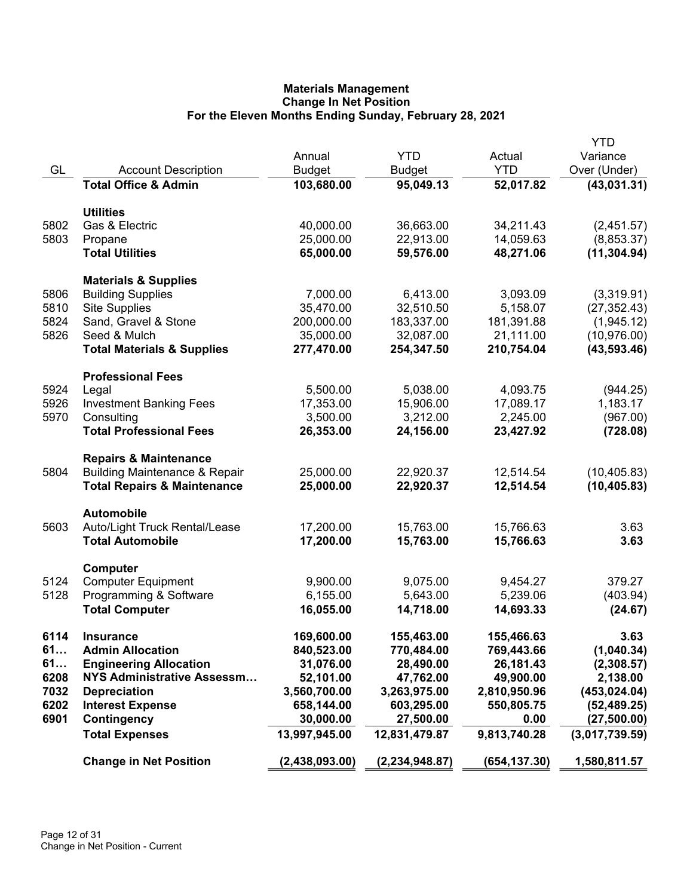|      |                                          |                |                  |              | <b>YTD</b>     |
|------|------------------------------------------|----------------|------------------|--------------|----------------|
|      |                                          | Annual         | <b>YTD</b>       | Actual       | Variance       |
| GL   | <b>Account Description</b>               | <b>Budget</b>  | <b>Budget</b>    | <b>YTD</b>   | Over (Under)   |
|      | <b>Total Office &amp; Admin</b>          | 103,680.00     | 95,049.13        | 52,017.82    | (43,031.31)    |
|      | <b>Utilities</b>                         |                |                  |              |                |
| 5802 | Gas & Electric                           | 40,000.00      | 36,663.00        | 34,211.43    | (2,451.57)     |
| 5803 | Propane                                  | 25,000.00      | 22,913.00        | 14,059.63    | (8,853.37)     |
|      | <b>Total Utilities</b>                   | 65,000.00      | 59,576.00        | 48,271.06    | (11, 304.94)   |
|      | <b>Materials &amp; Supplies</b>          |                |                  |              |                |
| 5806 | <b>Building Supplies</b>                 | 7,000.00       | 6,413.00         | 3,093.09     | (3,319.91)     |
| 5810 | <b>Site Supplies</b>                     | 35,470.00      | 32,510.50        | 5,158.07     | (27, 352.43)   |
| 5824 | Sand, Gravel & Stone                     | 200,000.00     | 183,337.00       | 181,391.88   | (1,945.12)     |
| 5826 | Seed & Mulch                             | 35,000.00      | 32,087.00        | 21,111.00    | (10, 976.00)   |
|      | <b>Total Materials &amp; Supplies</b>    | 277,470.00     | 254,347.50       | 210,754.04   | (43, 593.46)   |
|      | <b>Professional Fees</b>                 |                |                  |              |                |
| 5924 | Legal                                    | 5,500.00       | 5,038.00         | 4,093.75     | (944.25)       |
| 5926 | <b>Investment Banking Fees</b>           | 17,353.00      | 15,906.00        | 17,089.17    | 1,183.17       |
| 5970 | Consulting                               | 3,500.00       | 3,212.00         | 2,245.00     | (967.00)       |
|      | <b>Total Professional Fees</b>           | 26,353.00      | 24,156.00        | 23,427.92    | (728.08)       |
|      | <b>Repairs &amp; Maintenance</b>         |                |                  |              |                |
| 5804 | <b>Building Maintenance &amp; Repair</b> | 25,000.00      | 22,920.37        | 12,514.54    | (10, 405.83)   |
|      | <b>Total Repairs &amp; Maintenance</b>   | 25,000.00      | 22,920.37        | 12,514.54    | (10, 405.83)   |
|      | <b>Automobile</b>                        |                |                  |              |                |
| 5603 | Auto/Light Truck Rental/Lease            | 17,200.00      | 15,763.00        | 15,766.63    | 3.63           |
|      | <b>Total Automobile</b>                  | 17,200.00      | 15,763.00        | 15,766.63    | 3.63           |
|      | Computer                                 |                |                  |              |                |
| 5124 | <b>Computer Equipment</b>                | 9,900.00       | 9,075.00         | 9,454.27     | 379.27         |
| 5128 | Programming & Software                   | 6,155.00       | 5,643.00         | 5,239.06     | (403.94)       |
|      | <b>Total Computer</b>                    | 16,055.00      | 14,718.00        | 14,693.33    | (24.67)        |
| 6114 | <b>Insurance</b>                         | 169,600.00     | 155,463.00       | 155,466.63   | 3.63           |
| 61   | <b>Admin Allocation</b>                  | 840,523.00     | 770,484.00       | 769,443.66   | (1,040.34)     |
| 61   | <b>Engineering Allocation</b>            | 31,076.00      | 28,490.00        | 26,181.43    | (2,308.57)     |
| 6208 | NYS Administrative Assessm               | 52,101.00      | 47,762.00        | 49,900.00    | 2,138.00       |
| 7032 | <b>Depreciation</b>                      | 3,560,700.00   | 3,263,975.00     | 2,810,950.96 | (453, 024.04)  |
| 6202 | <b>Interest Expense</b>                  | 658,144.00     | 603,295.00       | 550,805.75   | (52, 489.25)   |
| 6901 | Contingency                              | 30,000.00      | 27,500.00        | 0.00         | (27,500.00)    |
|      | <b>Total Expenses</b>                    | 13,997,945.00  | 12,831,479.87    | 9,813,740.28 | (3,017,739.59) |
|      | <b>Change in Net Position</b>            | (2,438,093.00) | (2, 234, 948.87) | (654,137.30) | 1,580,811.57   |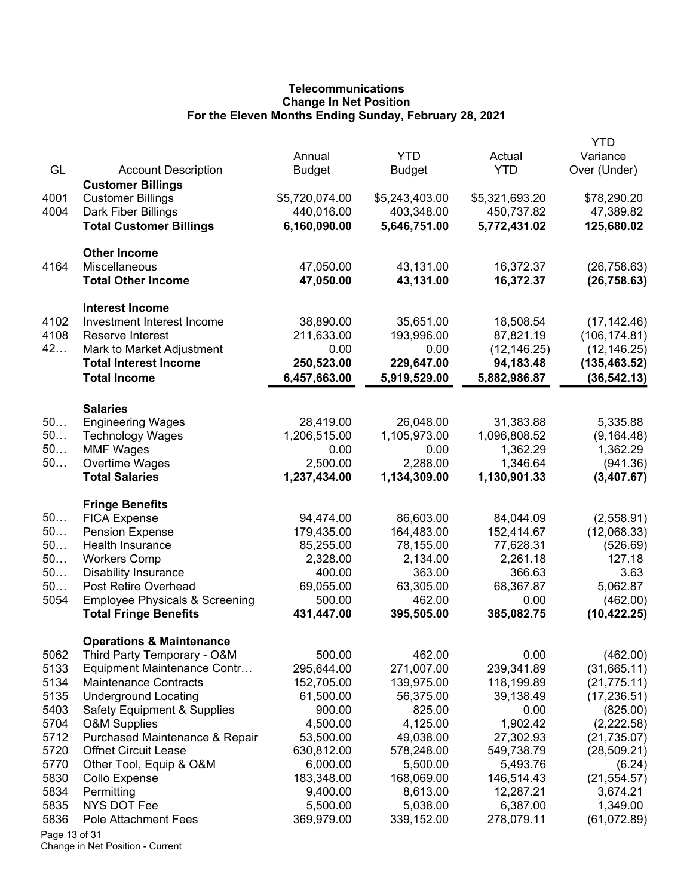# **Telecommunications Change In Net Position For the Eleven Months Ending Sunday, February 28, 2021**

|               |                                           |                              |                              |                              | YTD                      |
|---------------|-------------------------------------------|------------------------------|------------------------------|------------------------------|--------------------------|
|               |                                           | Annual                       | <b>YTD</b>                   | Actual                       | Variance                 |
| GL            | <b>Account Description</b>                | <b>Budget</b>                | Budget                       | <b>YTD</b>                   | Over (Under)             |
|               | <b>Customer Billings</b>                  |                              |                              |                              |                          |
| 4001<br>4004  | <b>Customer Billings</b>                  | \$5,720,074.00<br>440,016.00 | \$5,243,403.00<br>403,348.00 | \$5,321,693.20<br>450,737.82 | \$78,290.20<br>47,389.82 |
|               | Dark Fiber Billings                       |                              |                              |                              |                          |
|               | <b>Total Customer Billings</b>            | 6,160,090.00                 | 5,646,751.00                 | 5,772,431.02                 | 125,680.02               |
|               | <b>Other Income</b>                       |                              |                              |                              |                          |
| 4164          | Miscellaneous                             | 47,050.00                    | 43,131.00                    | 16,372.37                    | (26, 758.63)             |
|               | <b>Total Other Income</b>                 | 47,050.00                    | 43,131.00                    | 16,372.37                    | (26, 758.63)             |
|               | <b>Interest Income</b>                    |                              |                              |                              |                          |
| 4102          | Investment Interest Income                | 38,890.00                    | 35,651.00                    | 18,508.54                    | (17, 142.46)             |
| 4108          | Reserve Interest                          | 211,633.00                   | 193,996.00                   | 87,821.19                    | (106, 174.81)            |
| 42            | Mark to Market Adjustment                 | 0.00                         | 0.00                         | (12, 146.25)                 | (12, 146.25)             |
|               | <b>Total Interest Income</b>              | 250,523.00                   | 229,647.00                   | 94,183.48                    | (135, 463.52)            |
|               | <b>Total Income</b>                       | 6,457,663.00                 | 5,919,529.00                 | 5,882,986.87                 | (36, 542.13)             |
|               | <b>Salaries</b>                           |                              |                              |                              |                          |
| 50            | <b>Engineering Wages</b>                  | 28,419.00                    | 26,048.00                    | 31,383.88                    | 5,335.88                 |
| 50            | <b>Technology Wages</b>                   | 1,206,515.00                 | 1,105,973.00                 | 1,096,808.52                 | (9, 164.48)              |
| 50            | <b>MMF Wages</b>                          | 0.00                         | 0.00                         | 1,362.29                     | 1,362.29                 |
| 50            | Overtime Wages                            | 2,500.00                     | 2,288.00                     | 1,346.64                     | (941.36)                 |
|               | <b>Total Salaries</b>                     | 1,237,434.00                 | 1,134,309.00                 | 1,130,901.33                 | (3,407.67)               |
|               | <b>Fringe Benefits</b>                    |                              |                              |                              |                          |
| 50            | <b>FICA Expense</b>                       | 94,474.00                    | 86,603.00                    | 84,044.09                    | (2,558.91)               |
| 50            | <b>Pension Expense</b>                    | 179,435.00                   | 164,483.00                   | 152,414.67                   | (12,068.33)              |
| 50            | Health Insurance                          | 85,255.00                    | 78,155.00                    | 77,628.31                    | (526.69)                 |
| 50            | <b>Workers Comp</b>                       | 2,328.00                     | 2,134.00                     | 2,261.18                     | 127.18                   |
| 50            | <b>Disability Insurance</b>               | 400.00                       | 363.00                       | 366.63                       | 3.63                     |
| 50            | Post Retire Overhead                      | 69,055.00                    | 63,305.00                    | 68,367.87                    | 5,062.87                 |
| 5054          | <b>Employee Physicals &amp; Screening</b> | 500.00                       | 462.00                       | 0.00                         | (462.00)                 |
|               | <b>Total Fringe Benefits</b>              | 431,447.00                   | 395,505.00                   | 385,082.75                   | (10, 422.25)             |
|               | <b>Operations &amp; Maintenance</b>       |                              |                              |                              |                          |
| 5062          | Third Party Temporary - O&M               | 500.00                       | 462.00                       | 0.00                         | (462.00)                 |
| 5133          | Equipment Maintenance Contr               | 295,644.00                   | 271,007.00                   | 239,341.89                   | (31,665.11)              |
| 5134          | <b>Maintenance Contracts</b>              | 152,705.00                   | 139,975.00                   | 118,199.89                   | (21, 775.11)             |
| 5135          | <b>Underground Locating</b>               | 61,500.00                    | 56,375.00                    | 39,138.49                    | (17, 236.51)             |
| 5403          | <b>Safety Equipment &amp; Supplies</b>    | 900.00                       | 825.00                       | 0.00                         | (825.00)                 |
| 5704          | <b>O&amp;M Supplies</b>                   | 4,500.00                     | 4,125.00                     | 1,902.42                     | (2,222.58)               |
| 5712          | Purchased Maintenance & Repair            | 53,500.00                    | 49,038.00                    | 27,302.93                    | (21, 735.07)             |
| 5720          | <b>Offnet Circuit Lease</b>               | 630,812.00                   | 578,248.00                   | 549,738.79                   | (28, 509.21)             |
| 5770          | Other Tool, Equip & O&M                   | 6,000.00                     | 5,500.00                     | 5,493.76                     | (6.24)                   |
| 5830          | Collo Expense                             | 183,348.00                   | 168,069.00                   | 146,514.43                   | (21, 554.57)             |
| 5834          | Permitting                                | 9,400.00                     | 8,613.00                     | 12,287.21                    | 3,674.21                 |
| 5835          | NYS DOT Fee                               | 5,500.00                     | 5,038.00                     | 6,387.00                     | 1,349.00                 |
| 5836          | Pole Attachment Fees                      | 369,979.00                   | 339,152.00                   | 278,079.11                   | (61,072.89)              |
| Page 13 of 31 |                                           |                              |                              |                              |                          |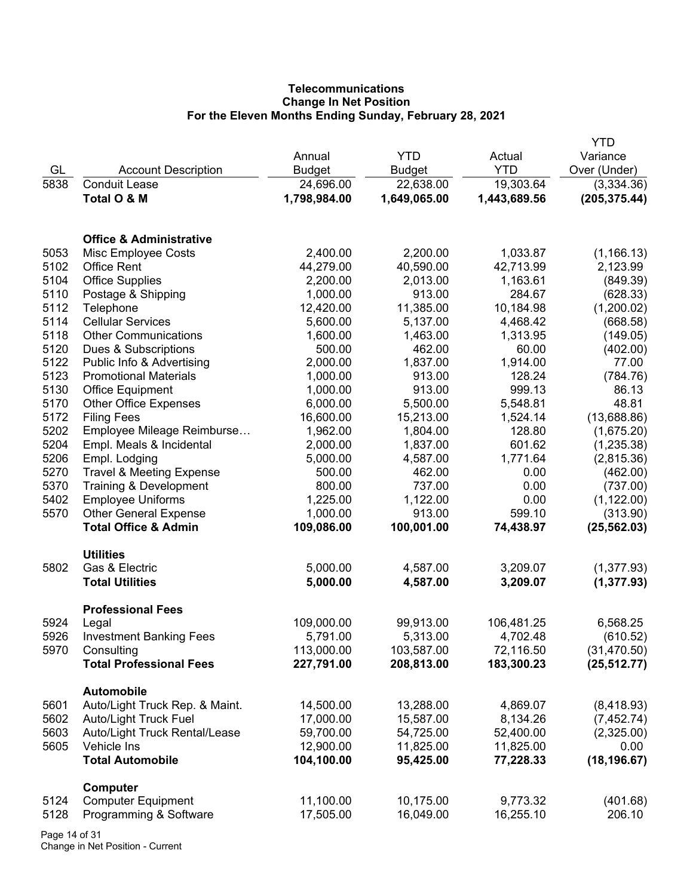# **Telecommunications Change In Net Position For the Eleven Months Ending Sunday, February 28, 2021**

|                              |                                                                                                                                                                                                                                                                                                                                                                                                                                                                                                                                                                                                                                                                                                                                                                                                                                                                               |                                                                                                                                                                                                                                                                                                                                                                                 |                                                                                                                                                                                                                                                                                                                                                                            | <b>YTD</b>                                                                                                                                                                                                                                                                                                                               |
|------------------------------|-------------------------------------------------------------------------------------------------------------------------------------------------------------------------------------------------------------------------------------------------------------------------------------------------------------------------------------------------------------------------------------------------------------------------------------------------------------------------------------------------------------------------------------------------------------------------------------------------------------------------------------------------------------------------------------------------------------------------------------------------------------------------------------------------------------------------------------------------------------------------------|---------------------------------------------------------------------------------------------------------------------------------------------------------------------------------------------------------------------------------------------------------------------------------------------------------------------------------------------------------------------------------|----------------------------------------------------------------------------------------------------------------------------------------------------------------------------------------------------------------------------------------------------------------------------------------------------------------------------------------------------------------------------|------------------------------------------------------------------------------------------------------------------------------------------------------------------------------------------------------------------------------------------------------------------------------------------------------------------------------------------|
|                              | Annual                                                                                                                                                                                                                                                                                                                                                                                                                                                                                                                                                                                                                                                                                                                                                                                                                                                                        | <b>YTD</b>                                                                                                                                                                                                                                                                                                                                                                      | Actual                                                                                                                                                                                                                                                                                                                                                                     | Variance                                                                                                                                                                                                                                                                                                                                 |
|                              |                                                                                                                                                                                                                                                                                                                                                                                                                                                                                                                                                                                                                                                                                                                                                                                                                                                                               |                                                                                                                                                                                                                                                                                                                                                                                 | <b>YTD</b>                                                                                                                                                                                                                                                                                                                                                                 | Over (Under)                                                                                                                                                                                                                                                                                                                             |
| <b>Conduit Lease</b>         |                                                                                                                                                                                                                                                                                                                                                                                                                                                                                                                                                                                                                                                                                                                                                                                                                                                                               |                                                                                                                                                                                                                                                                                                                                                                                 |                                                                                                                                                                                                                                                                                                                                                                            | (3,334.36)                                                                                                                                                                                                                                                                                                                               |
|                              |                                                                                                                                                                                                                                                                                                                                                                                                                                                                                                                                                                                                                                                                                                                                                                                                                                                                               |                                                                                                                                                                                                                                                                                                                                                                                 |                                                                                                                                                                                                                                                                                                                                                                            | (205, 375.44)                                                                                                                                                                                                                                                                                                                            |
|                              |                                                                                                                                                                                                                                                                                                                                                                                                                                                                                                                                                                                                                                                                                                                                                                                                                                                                               |                                                                                                                                                                                                                                                                                                                                                                                 |                                                                                                                                                                                                                                                                                                                                                                            |                                                                                                                                                                                                                                                                                                                                          |
|                              |                                                                                                                                                                                                                                                                                                                                                                                                                                                                                                                                                                                                                                                                                                                                                                                                                                                                               |                                                                                                                                                                                                                                                                                                                                                                                 |                                                                                                                                                                                                                                                                                                                                                                            |                                                                                                                                                                                                                                                                                                                                          |
|                              |                                                                                                                                                                                                                                                                                                                                                                                                                                                                                                                                                                                                                                                                                                                                                                                                                                                                               |                                                                                                                                                                                                                                                                                                                                                                                 |                                                                                                                                                                                                                                                                                                                                                                            |                                                                                                                                                                                                                                                                                                                                          |
|                              |                                                                                                                                                                                                                                                                                                                                                                                                                                                                                                                                                                                                                                                                                                                                                                                                                                                                               |                                                                                                                                                                                                                                                                                                                                                                                 |                                                                                                                                                                                                                                                                                                                                                                            | (1, 166.13)                                                                                                                                                                                                                                                                                                                              |
|                              |                                                                                                                                                                                                                                                                                                                                                                                                                                                                                                                                                                                                                                                                                                                                                                                                                                                                               |                                                                                                                                                                                                                                                                                                                                                                                 |                                                                                                                                                                                                                                                                                                                                                                            | 2,123.99                                                                                                                                                                                                                                                                                                                                 |
|                              |                                                                                                                                                                                                                                                                                                                                                                                                                                                                                                                                                                                                                                                                                                                                                                                                                                                                               |                                                                                                                                                                                                                                                                                                                                                                                 |                                                                                                                                                                                                                                                                                                                                                                            | (849.39)                                                                                                                                                                                                                                                                                                                                 |
|                              |                                                                                                                                                                                                                                                                                                                                                                                                                                                                                                                                                                                                                                                                                                                                                                                                                                                                               |                                                                                                                                                                                                                                                                                                                                                                                 |                                                                                                                                                                                                                                                                                                                                                                            | (628.33)                                                                                                                                                                                                                                                                                                                                 |
|                              |                                                                                                                                                                                                                                                                                                                                                                                                                                                                                                                                                                                                                                                                                                                                                                                                                                                                               |                                                                                                                                                                                                                                                                                                                                                                                 |                                                                                                                                                                                                                                                                                                                                                                            | (1,200.02)                                                                                                                                                                                                                                                                                                                               |
| <b>Cellular Services</b>     | 5,600.00                                                                                                                                                                                                                                                                                                                                                                                                                                                                                                                                                                                                                                                                                                                                                                                                                                                                      | 5,137.00                                                                                                                                                                                                                                                                                                                                                                        | 4,468.42                                                                                                                                                                                                                                                                                                                                                                   | (668.58)                                                                                                                                                                                                                                                                                                                                 |
| <b>Other Communications</b>  | 1,600.00                                                                                                                                                                                                                                                                                                                                                                                                                                                                                                                                                                                                                                                                                                                                                                                                                                                                      | 1,463.00                                                                                                                                                                                                                                                                                                                                                                        | 1,313.95                                                                                                                                                                                                                                                                                                                                                                   | (149.05)                                                                                                                                                                                                                                                                                                                                 |
| Dues & Subscriptions         | 500.00                                                                                                                                                                                                                                                                                                                                                                                                                                                                                                                                                                                                                                                                                                                                                                                                                                                                        | 462.00                                                                                                                                                                                                                                                                                                                                                                          | 60.00                                                                                                                                                                                                                                                                                                                                                                      | (402.00)                                                                                                                                                                                                                                                                                                                                 |
| Public Info & Advertising    | 2,000.00                                                                                                                                                                                                                                                                                                                                                                                                                                                                                                                                                                                                                                                                                                                                                                                                                                                                      | 1,837.00                                                                                                                                                                                                                                                                                                                                                                        | 1,914.00                                                                                                                                                                                                                                                                                                                                                                   | 77.00                                                                                                                                                                                                                                                                                                                                    |
| <b>Promotional Materials</b> | 1,000.00                                                                                                                                                                                                                                                                                                                                                                                                                                                                                                                                                                                                                                                                                                                                                                                                                                                                      | 913.00                                                                                                                                                                                                                                                                                                                                                                          | 128.24                                                                                                                                                                                                                                                                                                                                                                     | (784.76)                                                                                                                                                                                                                                                                                                                                 |
|                              | 1,000.00                                                                                                                                                                                                                                                                                                                                                                                                                                                                                                                                                                                                                                                                                                                                                                                                                                                                      | 913.00                                                                                                                                                                                                                                                                                                                                                                          | 999.13                                                                                                                                                                                                                                                                                                                                                                     | 86.13                                                                                                                                                                                                                                                                                                                                    |
|                              |                                                                                                                                                                                                                                                                                                                                                                                                                                                                                                                                                                                                                                                                                                                                                                                                                                                                               |                                                                                                                                                                                                                                                                                                                                                                                 |                                                                                                                                                                                                                                                                                                                                                                            | 48.81                                                                                                                                                                                                                                                                                                                                    |
|                              |                                                                                                                                                                                                                                                                                                                                                                                                                                                                                                                                                                                                                                                                                                                                                                                                                                                                               |                                                                                                                                                                                                                                                                                                                                                                                 |                                                                                                                                                                                                                                                                                                                                                                            | (13,688.86)                                                                                                                                                                                                                                                                                                                              |
|                              |                                                                                                                                                                                                                                                                                                                                                                                                                                                                                                                                                                                                                                                                                                                                                                                                                                                                               |                                                                                                                                                                                                                                                                                                                                                                                 |                                                                                                                                                                                                                                                                                                                                                                            | (1,675.20)                                                                                                                                                                                                                                                                                                                               |
|                              |                                                                                                                                                                                                                                                                                                                                                                                                                                                                                                                                                                                                                                                                                                                                                                                                                                                                               |                                                                                                                                                                                                                                                                                                                                                                                 |                                                                                                                                                                                                                                                                                                                                                                            | (1,235.38)                                                                                                                                                                                                                                                                                                                               |
|                              |                                                                                                                                                                                                                                                                                                                                                                                                                                                                                                                                                                                                                                                                                                                                                                                                                                                                               |                                                                                                                                                                                                                                                                                                                                                                                 |                                                                                                                                                                                                                                                                                                                                                                            | (2,815.36)                                                                                                                                                                                                                                                                                                                               |
|                              |                                                                                                                                                                                                                                                                                                                                                                                                                                                                                                                                                                                                                                                                                                                                                                                                                                                                               |                                                                                                                                                                                                                                                                                                                                                                                 |                                                                                                                                                                                                                                                                                                                                                                            | (462.00)                                                                                                                                                                                                                                                                                                                                 |
|                              |                                                                                                                                                                                                                                                                                                                                                                                                                                                                                                                                                                                                                                                                                                                                                                                                                                                                               |                                                                                                                                                                                                                                                                                                                                                                                 |                                                                                                                                                                                                                                                                                                                                                                            | (737.00)                                                                                                                                                                                                                                                                                                                                 |
|                              |                                                                                                                                                                                                                                                                                                                                                                                                                                                                                                                                                                                                                                                                                                                                                                                                                                                                               |                                                                                                                                                                                                                                                                                                                                                                                 |                                                                                                                                                                                                                                                                                                                                                                            | (1, 122.00)                                                                                                                                                                                                                                                                                                                              |
|                              |                                                                                                                                                                                                                                                                                                                                                                                                                                                                                                                                                                                                                                                                                                                                                                                                                                                                               |                                                                                                                                                                                                                                                                                                                                                                                 |                                                                                                                                                                                                                                                                                                                                                                            | (313.90)                                                                                                                                                                                                                                                                                                                                 |
|                              |                                                                                                                                                                                                                                                                                                                                                                                                                                                                                                                                                                                                                                                                                                                                                                                                                                                                               |                                                                                                                                                                                                                                                                                                                                                                                 |                                                                                                                                                                                                                                                                                                                                                                            | (25, 562.03)                                                                                                                                                                                                                                                                                                                             |
|                              |                                                                                                                                                                                                                                                                                                                                                                                                                                                                                                                                                                                                                                                                                                                                                                                                                                                                               |                                                                                                                                                                                                                                                                                                                                                                                 |                                                                                                                                                                                                                                                                                                                                                                            |                                                                                                                                                                                                                                                                                                                                          |
| <b>Utilities</b>             |                                                                                                                                                                                                                                                                                                                                                                                                                                                                                                                                                                                                                                                                                                                                                                                                                                                                               |                                                                                                                                                                                                                                                                                                                                                                                 |                                                                                                                                                                                                                                                                                                                                                                            |                                                                                                                                                                                                                                                                                                                                          |
|                              |                                                                                                                                                                                                                                                                                                                                                                                                                                                                                                                                                                                                                                                                                                                                                                                                                                                                               |                                                                                                                                                                                                                                                                                                                                                                                 |                                                                                                                                                                                                                                                                                                                                                                            | (1,377.93)                                                                                                                                                                                                                                                                                                                               |
|                              | 5,000.00                                                                                                                                                                                                                                                                                                                                                                                                                                                                                                                                                                                                                                                                                                                                                                                                                                                                      | 4,587.00                                                                                                                                                                                                                                                                                                                                                                        | 3,209.07                                                                                                                                                                                                                                                                                                                                                                   | (1, 377.93)                                                                                                                                                                                                                                                                                                                              |
|                              |                                                                                                                                                                                                                                                                                                                                                                                                                                                                                                                                                                                                                                                                                                                                                                                                                                                                               |                                                                                                                                                                                                                                                                                                                                                                                 |                                                                                                                                                                                                                                                                                                                                                                            |                                                                                                                                                                                                                                                                                                                                          |
|                              |                                                                                                                                                                                                                                                                                                                                                                                                                                                                                                                                                                                                                                                                                                                                                                                                                                                                               |                                                                                                                                                                                                                                                                                                                                                                                 |                                                                                                                                                                                                                                                                                                                                                                            | 6,568.25                                                                                                                                                                                                                                                                                                                                 |
|                              |                                                                                                                                                                                                                                                                                                                                                                                                                                                                                                                                                                                                                                                                                                                                                                                                                                                                               |                                                                                                                                                                                                                                                                                                                                                                                 |                                                                                                                                                                                                                                                                                                                                                                            | (610.52)                                                                                                                                                                                                                                                                                                                                 |
|                              |                                                                                                                                                                                                                                                                                                                                                                                                                                                                                                                                                                                                                                                                                                                                                                                                                                                                               |                                                                                                                                                                                                                                                                                                                                                                                 |                                                                                                                                                                                                                                                                                                                                                                            | (31, 470.50)                                                                                                                                                                                                                                                                                                                             |
|                              |                                                                                                                                                                                                                                                                                                                                                                                                                                                                                                                                                                                                                                                                                                                                                                                                                                                                               |                                                                                                                                                                                                                                                                                                                                                                                 |                                                                                                                                                                                                                                                                                                                                                                            | (25, 512.77)                                                                                                                                                                                                                                                                                                                             |
|                              |                                                                                                                                                                                                                                                                                                                                                                                                                                                                                                                                                                                                                                                                                                                                                                                                                                                                               |                                                                                                                                                                                                                                                                                                                                                                                 |                                                                                                                                                                                                                                                                                                                                                                            |                                                                                                                                                                                                                                                                                                                                          |
| <b>Automobile</b>            |                                                                                                                                                                                                                                                                                                                                                                                                                                                                                                                                                                                                                                                                                                                                                                                                                                                                               |                                                                                                                                                                                                                                                                                                                                                                                 |                                                                                                                                                                                                                                                                                                                                                                            |                                                                                                                                                                                                                                                                                                                                          |
|                              |                                                                                                                                                                                                                                                                                                                                                                                                                                                                                                                                                                                                                                                                                                                                                                                                                                                                               |                                                                                                                                                                                                                                                                                                                                                                                 |                                                                                                                                                                                                                                                                                                                                                                            | (8,418.93)                                                                                                                                                                                                                                                                                                                               |
|                              |                                                                                                                                                                                                                                                                                                                                                                                                                                                                                                                                                                                                                                                                                                                                                                                                                                                                               |                                                                                                                                                                                                                                                                                                                                                                                 |                                                                                                                                                                                                                                                                                                                                                                            | (7,452.74)                                                                                                                                                                                                                                                                                                                               |
|                              |                                                                                                                                                                                                                                                                                                                                                                                                                                                                                                                                                                                                                                                                                                                                                                                                                                                                               |                                                                                                                                                                                                                                                                                                                                                                                 |                                                                                                                                                                                                                                                                                                                                                                            | (2,325.00)                                                                                                                                                                                                                                                                                                                               |
|                              |                                                                                                                                                                                                                                                                                                                                                                                                                                                                                                                                                                                                                                                                                                                                                                                                                                                                               |                                                                                                                                                                                                                                                                                                                                                                                 |                                                                                                                                                                                                                                                                                                                                                                            | 0.00                                                                                                                                                                                                                                                                                                                                     |
| <b>Total Automobile</b>      | 104,100.00                                                                                                                                                                                                                                                                                                                                                                                                                                                                                                                                                                                                                                                                                                                                                                                                                                                                    | 95,425.00                                                                                                                                                                                                                                                                                                                                                                       | 77,228.33                                                                                                                                                                                                                                                                                                                                                                  | (18, 196.67)                                                                                                                                                                                                                                                                                                                             |
|                              |                                                                                                                                                                                                                                                                                                                                                                                                                                                                                                                                                                                                                                                                                                                                                                                                                                                                               |                                                                                                                                                                                                                                                                                                                                                                                 |                                                                                                                                                                                                                                                                                                                                                                            |                                                                                                                                                                                                                                                                                                                                          |
|                              |                                                                                                                                                                                                                                                                                                                                                                                                                                                                                                                                                                                                                                                                                                                                                                                                                                                                               |                                                                                                                                                                                                                                                                                                                                                                                 |                                                                                                                                                                                                                                                                                                                                                                            | (401.68)                                                                                                                                                                                                                                                                                                                                 |
|                              |                                                                                                                                                                                                                                                                                                                                                                                                                                                                                                                                                                                                                                                                                                                                                                                                                                                                               |                                                                                                                                                                                                                                                                                                                                                                                 |                                                                                                                                                                                                                                                                                                                                                                            | 206.10                                                                                                                                                                                                                                                                                                                                   |
|                              |                                                                                                                                                                                                                                                                                                                                                                                                                                                                                                                                                                                                                                                                                                                                                                                                                                                                               |                                                                                                                                                                                                                                                                                                                                                                                 |                                                                                                                                                                                                                                                                                                                                                                            |                                                                                                                                                                                                                                                                                                                                          |
|                              | <b>Account Description</b><br>Total O & M<br><b>Office &amp; Administrative</b><br>Misc Employee Costs<br><b>Office Rent</b><br><b>Office Supplies</b><br>Postage & Shipping<br>Telephone<br><b>Office Equipment</b><br><b>Other Office Expenses</b><br><b>Filing Fees</b><br>Employee Mileage Reimburse<br>Empl. Meals & Incidental<br>Empl. Lodging<br><b>Travel &amp; Meeting Expense</b><br>Training & Development<br><b>Employee Uniforms</b><br><b>Other General Expense</b><br><b>Total Office &amp; Admin</b><br>Gas & Electric<br><b>Total Utilities</b><br><b>Professional Fees</b><br>Legal<br><b>Investment Banking Fees</b><br>Consulting<br><b>Total Professional Fees</b><br>Auto/Light Truck Rep. & Maint.<br>Auto/Light Truck Fuel<br>Auto/Light Truck Rental/Lease<br>Vehicle Ins<br><b>Computer</b><br><b>Computer Equipment</b><br>Programming & Software | <b>Budget</b><br>24,696.00<br>1,798,984.00<br>2,400.00<br>44,279.00<br>2,200.00<br>1,000.00<br>12,420.00<br>6,000.00<br>16,600.00<br>1,962.00<br>2,000.00<br>5,000.00<br>500.00<br>800.00<br>1,225.00<br>1,000.00<br>109,086.00<br>5,000.00<br>109,000.00<br>5,791.00<br>113,000.00<br>227,791.00<br>14,500.00<br>17,000.00<br>59,700.00<br>12,900.00<br>11,100.00<br>17,505.00 | <b>Budget</b><br>22,638.00<br>1,649,065.00<br>2,200.00<br>40,590.00<br>2,013.00<br>913.00<br>11,385.00<br>5,500.00<br>15,213.00<br>1,804.00<br>1,837.00<br>4,587.00<br>462.00<br>737.00<br>1,122.00<br>913.00<br>100,001.00<br>4,587.00<br>99,913.00<br>5,313.00<br>103,587.00<br>208,813.00<br>13,288.00<br>15,587.00<br>54,725.00<br>11,825.00<br>10,175.00<br>16,049.00 | 19,303.64<br>1,443,689.56<br>1,033.87<br>42,713.99<br>1,163.61<br>284.67<br>10,184.98<br>5,548.81<br>1,524.14<br>128.80<br>601.62<br>1,771.64<br>0.00<br>0.00<br>0.00<br>599.10<br>74,438.97<br>3,209.07<br>106,481.25<br>4,702.48<br>72,116.50<br>183,300.23<br>4,869.07<br>8,134.26<br>52,400.00<br>11,825.00<br>9,773.32<br>16,255.10 |

Page 14 of 31 Change in Net Position - Current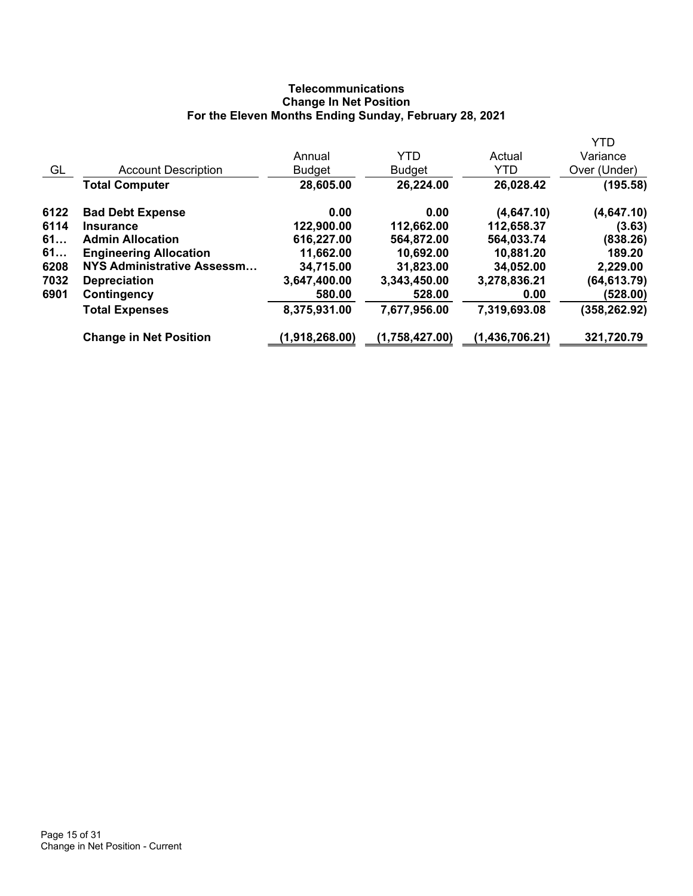# **Telecommunications Change In Net Position For the Eleven Months Ending Sunday, February 28, 2021**

|      |                                   |                |                |                  | <b>YTD</b>    |
|------|-----------------------------------|----------------|----------------|------------------|---------------|
|      |                                   | Annual         | <b>YTD</b>     | Actual           | Variance      |
| GL   | <b>Account Description</b>        | Budget         | <b>Budget</b>  | <b>YTD</b>       | Over (Under)  |
|      | <b>Total Computer</b>             | 28,605.00      | 26,224.00      | 26,028.42        | (195.58)      |
| 6122 | <b>Bad Debt Expense</b>           | 0.00           | 0.00           | (4,647.10)       | (4,647.10)    |
| 6114 | <b>Insurance</b>                  | 122,900.00     | 112,662.00     | 112,658.37       | (3.63)        |
| 61   | <b>Admin Allocation</b>           | 616,227.00     | 564,872.00     | 564,033.74       | (838.26)      |
| 61   | <b>Engineering Allocation</b>     | 11,662.00      | 10,692.00      | 10,881.20        | 189.20        |
| 6208 | <b>NYS Administrative Assessm</b> | 34,715.00      | 31,823.00      | 34,052.00        | 2,229.00      |
| 7032 | <b>Depreciation</b>               | 3,647,400.00   | 3,343,450.00   | 3,278,836.21     | (64, 613.79)  |
| 6901 | Contingency                       | 580.00         | 528.00         | 0.00             | (528.00)      |
|      | <b>Total Expenses</b>             | 8,375,931.00   | 7,677,956.00   | 7,319,693.08     | (358, 262.92) |
|      | <b>Change in Net Position</b>     | (1,918,268.00) | (1,758,427.00) | (1, 436, 706.21) | 321,720.79    |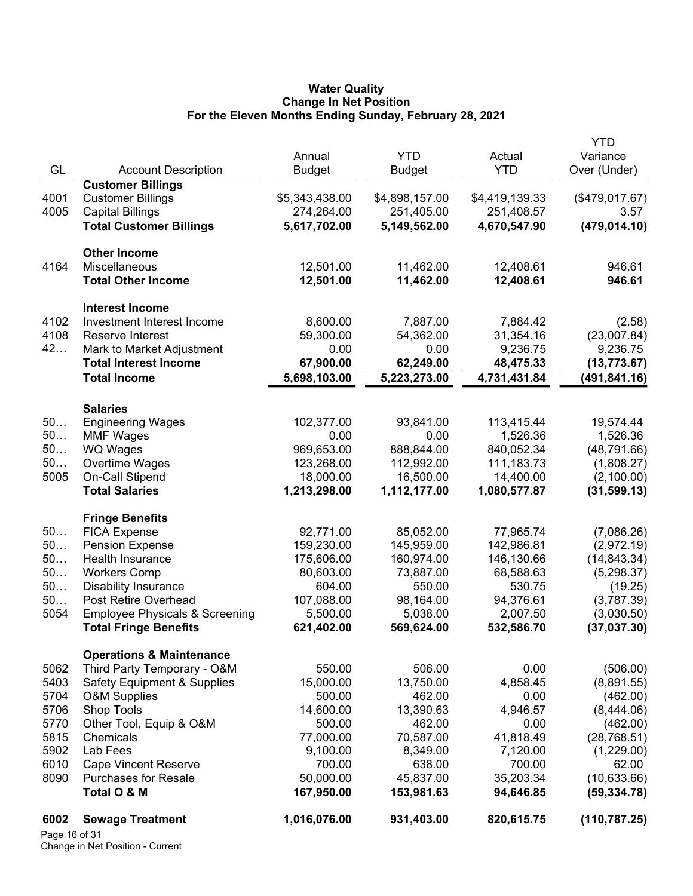#### **Water Quality Change In Net Position For the Eleven Months Ending Sunday, February 28, 2021**

| 6002<br>Page 16 of 31 | <b>Sewage Treatment</b>                             | 1,016,076.00            | 931,403.00              | 820,615.75             | (110, 787.25)                |
|-----------------------|-----------------------------------------------------|-------------------------|-------------------------|------------------------|------------------------------|
|                       |                                                     |                         |                         |                        |                              |
| 8090                  | <b>Purchases for Resale</b><br>Total O & M          | 50,000.00<br>167,950.00 | 45,837.00<br>153,981.63 | 35,203.34<br>94,646.85 | (10, 633.66)<br>(59, 334.78) |
| 6010                  | <b>Cape Vincent Reserve</b>                         | 700.00                  | 638.00                  | 700.00                 | 62.00                        |
| 5902                  | Lab Fees                                            | 9,100.00                | 8,349.00                | 7,120.00               | (1,229.00)                   |
| 5815                  | Chemicals                                           | 77,000.00               | 70,587.00               | 41,818.49              | (28, 768.51)                 |
| 5770                  | Other Tool, Equip & O&M                             | 500.00                  | 462.00                  | 0.00                   | (462.00)                     |
| 5706                  | Shop Tools                                          | 14,600.00               | 13,390.63               | 4,946.57               | (8,444.06)                   |
| 5704                  | <b>O&amp;M Supplies</b>                             | 500.00                  | 462.00                  | 0.00                   | (462.00)                     |
| 5403                  | <b>Safety Equipment &amp; Supplies</b>              | 15,000.00               | 13,750.00               | 4,858.45               | (8,891.55)                   |
| 5062                  | Third Party Temporary - O&M                         | 550.00                  | 506.00                  | 0.00                   | (506.00)                     |
|                       | <b>Operations &amp; Maintenance</b>                 |                         |                         |                        |                              |
|                       | <b>Total Fringe Benefits</b>                        | 621,402.00              | 569,624.00              | 532,586.70             | (37,037.30)                  |
| 5054                  | <b>Employee Physicals &amp; Screening</b>           | 5,500.00                | 5,038.00                | 2,007.50               | (3,030.50)                   |
|                       |                                                     |                         |                         |                        |                              |
| 50                    | <b>Disability Insurance</b><br>Post Retire Overhead | 604.00<br>107,088.00    | 550.00<br>98,164.00     | 94,376.61              | (19.25)<br>(3,787.39)        |
| 50                    | <b>Workers Comp</b>                                 | 80,603.00               | 73,887.00               | 68,588.63<br>530.75    | (5,298.37)                   |
| 50                    | Health Insurance                                    | 175,606.00              | 160,974.00              | 146,130.66             | (14, 843.34)                 |
| 50<br>50              | <b>Pension Expense</b>                              | 159,230.00              | 145,959.00              | 142,986.81             | (2,972.19)                   |
| 50                    | <b>FICA Expense</b>                                 | 92,771.00               | 85,052.00               | 77,965.74              | (7,086.26)                   |
|                       | <b>Fringe Benefits</b>                              |                         |                         |                        |                              |
|                       |                                                     |                         |                         |                        |                              |
|                       | <b>Total Salaries</b>                               | 1,213,298.00            | 1,112,177.00            | 1,080,577.87           | (31, 599.13)                 |
| 5005                  | On-Call Stipend                                     | 18,000.00               | 16,500.00               | 14,400.00              | (2,100.00)                   |
| 50                    | Overtime Wages                                      | 123,268.00              | 112,992.00              | 111,183.73             | (1,808.27)                   |
| 50                    | WQ Wages                                            | 969,653.00              | 888,844.00              | 840,052.34             | (48, 791.66)                 |
| 50                    | <b>MMF Wages</b>                                    | 0.00                    | 0.00                    | 1,526.36               | 1,526.36                     |
| 50                    | <b>Engineering Wages</b>                            | 102,377.00              | 93,841.00               | 113,415.44             | 19,574.44                    |
|                       | <b>Salaries</b>                                     |                         |                         |                        |                              |
|                       |                                                     |                         |                         |                        |                              |
|                       | <b>Total Income</b>                                 | 5,698,103.00            | 5,223,273.00            | 4,731,431.84           | (491, 841.16)                |
|                       | <b>Total Interest Income</b>                        | 67,900.00               | 62,249.00               | 48,475.33              | (13,773.67)                  |
| 42                    | Mark to Market Adjustment                           | 0.00                    | 0.00                    | 9,236.75               | 9,236.75                     |
| 4108                  | Reserve Interest                                    | 59,300.00               | 54,362.00               | 31,354.16              | (23,007.84)                  |
| 4102                  | Investment Interest Income                          | 8,600.00                | 7,887.00                | 7,884.42               | (2.58)                       |
|                       | <b>Interest Income</b>                              |                         |                         |                        |                              |
|                       | <b>Total Other Income</b>                           | 12,501.00               | 11,462.00               | 12,408.61              | 946.61                       |
| 4164                  | <b>Miscellaneous</b>                                | 12,501.00               | 11,462.00               | 12,408.61              | 946.61                       |
|                       | <b>Other Income</b>                                 |                         |                         |                        |                              |
|                       |                                                     |                         |                         |                        |                              |
|                       | <b>Total Customer Billings</b>                      | 5,617,702.00            | 5,149,562.00            | 4,670,547.90           | (479, 014.10)                |
| 4005                  | <b>Capital Billings</b>                             | 274,264.00              | 251,405.00              | 251,408.57             | 3.57                         |
| 4001                  | <b>Customer Billings</b>                            | \$5,343,438.00          | \$4,898,157.00          | \$4,419,139.33         | (\$479,017.67)               |
|                       | <b>Customer Billings</b>                            |                         |                         |                        |                              |
| GL                    | <b>Account Description</b>                          | <b>Budget</b>           | <b>Budget</b>           | <b>YTD</b>             | Over (Under)                 |
|                       |                                                     | Annual                  | <b>YTD</b>              | Actual                 | Variance                     |
|                       |                                                     |                         |                         |                        | YTD                          |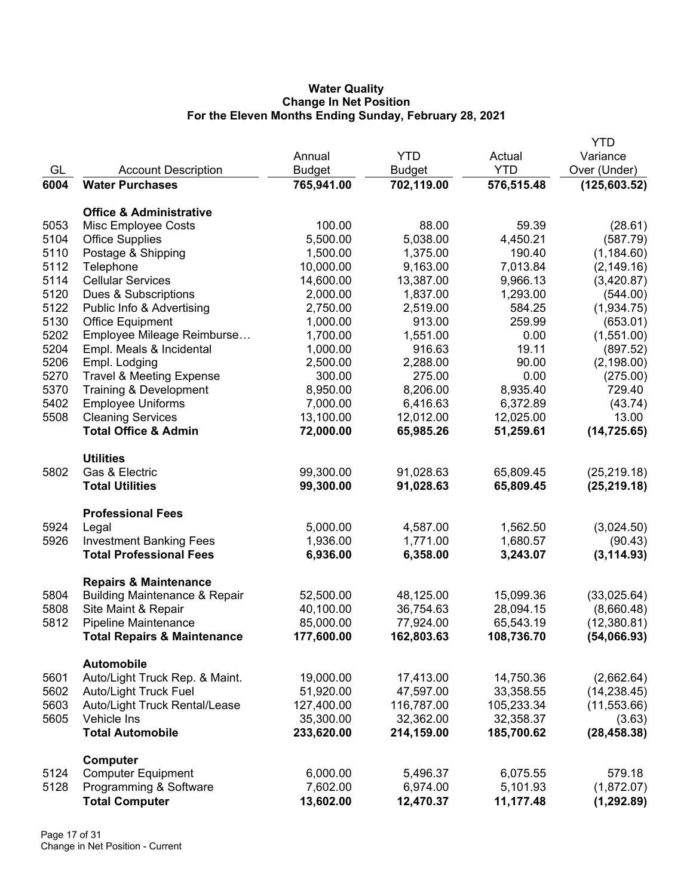## **Water Quality Change In Net Position For the Eleven Months Ending Sunday, February 28, 2021**

|      |                                          |               |               |            | <b>YTD</b>    |
|------|------------------------------------------|---------------|---------------|------------|---------------|
|      |                                          | Annual        | <b>YTD</b>    | Actual     | Variance      |
| GL   | <b>Account Description</b>               | <b>Budget</b> | <b>Budget</b> | <b>YTD</b> | Over (Under)  |
| 6004 | <b>Water Purchases</b>                   | 765,941.00    | 702,119.00    | 576,515.48 | (125, 603.52) |
|      |                                          |               |               |            |               |
|      | <b>Office &amp; Administrative</b>       |               |               |            |               |
| 5053 | Misc Employee Costs                      | 100.00        | 88.00         | 59.39      | (28.61)       |
| 5104 | <b>Office Supplies</b>                   | 5,500.00      | 5,038.00      | 4,450.21   | (587.79)      |
| 5110 | Postage & Shipping                       | 1,500.00      | 1,375.00      | 190.40     | (1, 184.60)   |
| 5112 | Telephone                                | 10,000.00     | 9,163.00      | 7,013.84   | (2, 149.16)   |
| 5114 | <b>Cellular Services</b>                 | 14,600.00     | 13,387.00     | 9,966.13   | (3,420.87)    |
| 5120 | Dues & Subscriptions                     | 2,000.00      | 1,837.00      | 1,293.00   | (544.00)      |
| 5122 | Public Info & Advertising                | 2,750.00      | 2,519.00      | 584.25     | (1,934.75)    |
| 5130 | <b>Office Equipment</b>                  | 1,000.00      | 913.00        | 259.99     | (653.01)      |
| 5202 | Employee Mileage Reimburse               | 1,700.00      | 1,551.00      | 0.00       | (1,551.00)    |
| 5204 | Empl. Meals & Incidental                 | 1,000.00      | 916.63        | 19.11      | (897.52)      |
| 5206 | Empl. Lodging                            | 2,500.00      | 2,288.00      | 90.00      | (2, 198.00)   |
| 5270 | <b>Travel &amp; Meeting Expense</b>      | 300.00        | 275.00        | 0.00       | (275.00)      |
| 5370 | Training & Development                   | 8,950.00      | 8,206.00      | 8,935.40   | 729.40        |
| 5402 | <b>Employee Uniforms</b>                 | 7,000.00      | 6,416.63      | 6,372.89   | (43.74)       |
| 5508 | <b>Cleaning Services</b>                 | 13,100.00     | 12,012.00     | 12,025.00  | 13.00         |
|      | <b>Total Office &amp; Admin</b>          | 72,000.00     | 65,985.26     | 51,259.61  | (14, 725.65)  |
|      | <b>Utilities</b>                         |               |               |            |               |
| 5802 | Gas & Electric                           | 99,300.00     | 91,028.63     | 65,809.45  | (25, 219.18)  |
|      | <b>Total Utilities</b>                   | 99,300.00     | 91,028.63     | 65,809.45  | (25, 219.18)  |
|      | <b>Professional Fees</b>                 |               |               |            |               |
| 5924 | Legal                                    | 5,000.00      | 4,587.00      | 1,562.50   | (3,024.50)    |
| 5926 | <b>Investment Banking Fees</b>           | 1,936.00      | 1,771.00      | 1,680.57   | (90.43)       |
|      | <b>Total Professional Fees</b>           | 6,936.00      | 6,358.00      | 3,243.07   | (3, 114.93)   |
|      | <b>Repairs &amp; Maintenance</b>         |               |               |            |               |
| 5804 | <b>Building Maintenance &amp; Repair</b> | 52,500.00     | 48,125.00     | 15,099.36  | (33,025.64)   |
| 5808 | Site Maint & Repair                      | 40,100.00     | 36,754.63     | 28,094.15  | (8,660.48)    |
| 5812 | <b>Pipeline Maintenance</b>              | 85,000.00     | 77,924.00     | 65,543.19  | (12,380.81)   |
|      | <b>Total Repairs &amp; Maintenance</b>   | 177,600.00    | 162,803.63    | 108,736.70 | (54,066.93)   |
|      | <b>Automobile</b>                        |               |               |            |               |
| 5601 | Auto/Light Truck Rep. & Maint.           | 19,000.00     | 17,413.00     | 14,750.36  | (2,662.64)    |
| 5602 | <b>Auto/Light Truck Fuel</b>             | 51,920.00     | 47,597.00     | 33,358.55  | (14, 238.45)  |
| 5603 | Auto/Light Truck Rental/Lease            | 127,400.00    | 116,787.00    | 105,233.34 | (11,553.66)   |
| 5605 | Vehicle Ins                              | 35,300.00     | 32,362.00     | 32,358.37  | (3.63)        |
|      | <b>Total Automobile</b>                  | 233,620.00    | 214,159.00    | 185,700.62 | (28, 458.38)  |
|      | Computer                                 |               |               |            |               |
| 5124 | <b>Computer Equipment</b>                | 6,000.00      | 5,496.37      | 6,075.55   | 579.18        |
| 5128 | Programming & Software                   | 7,602.00      | 6,974.00      | 5,101.93   | (1,872.07)    |
|      | <b>Total Computer</b>                    | 13,602.00     | 12,470.37     | 11,177.48  | (1, 292.89)   |
|      |                                          |               |               |            |               |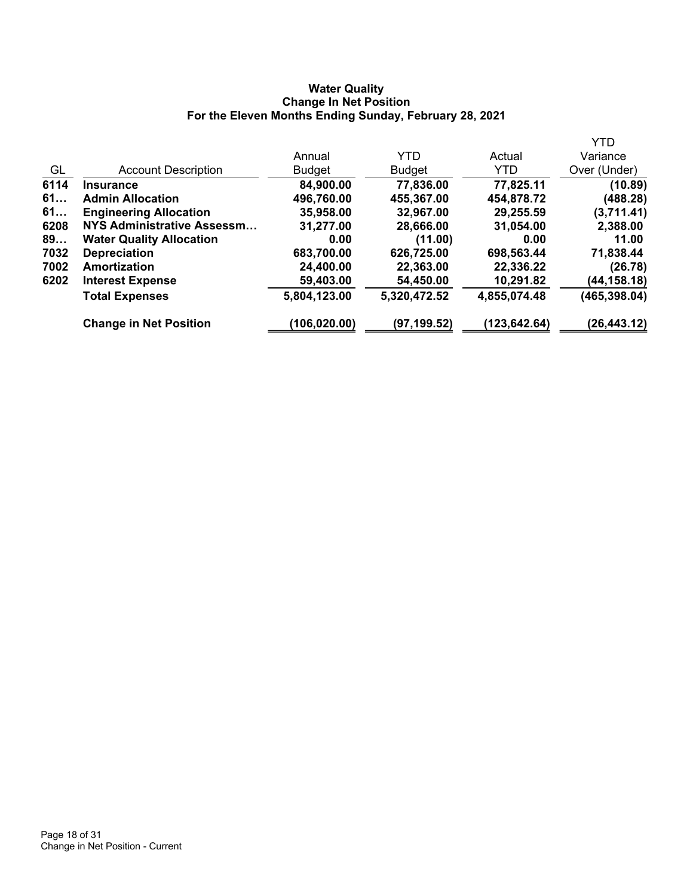#### **Water Quality Change In Net Position For the Eleven Months Ending Sunday, February 28, 2021**

|                                 |               |               |              | <b>YTD</b>    |
|---------------------------------|---------------|---------------|--------------|---------------|
|                                 | Annual        | <b>YTD</b>    | Actual       | Variance      |
| <b>Account Description</b>      | <b>Budget</b> | <b>Budget</b> | <b>YTD</b>   | Over (Under)  |
| <b>Insurance</b>                | 84,900.00     | 77,836.00     | 77,825.11    | (10.89)       |
| <b>Admin Allocation</b>         | 496,760.00    | 455,367.00    | 454,878.72   | (488.28)      |
| <b>Engineering Allocation</b>   | 35,958.00     | 32,967.00     | 29,255.59    | (3,711.41)    |
| NYS Administrative Assessm      | 31,277.00     | 28,666.00     | 31,054.00    | 2,388.00      |
| <b>Water Quality Allocation</b> | 0.00          | (11.00)       | 0.00         | 11.00         |
| <b>Depreciation</b>             | 683,700.00    | 626,725.00    | 698,563.44   | 71,838.44     |
| Amortization                    | 24,400.00     | 22,363.00     | 22,336.22    | (26.78)       |
| <b>Interest Expense</b>         | 59,403.00     | 54,450.00     | 10,291.82    | (44,158.18)   |
| <b>Total Expenses</b>           | 5,804,123.00  | 5,320,472.52  | 4,855,074.48 | (465, 398.04) |
| <b>Change in Net Position</b>   | (106, 020.00) | (97,199.52)   | (123,642.64) | (26,443.12)   |
|                                 |               |               |              |               |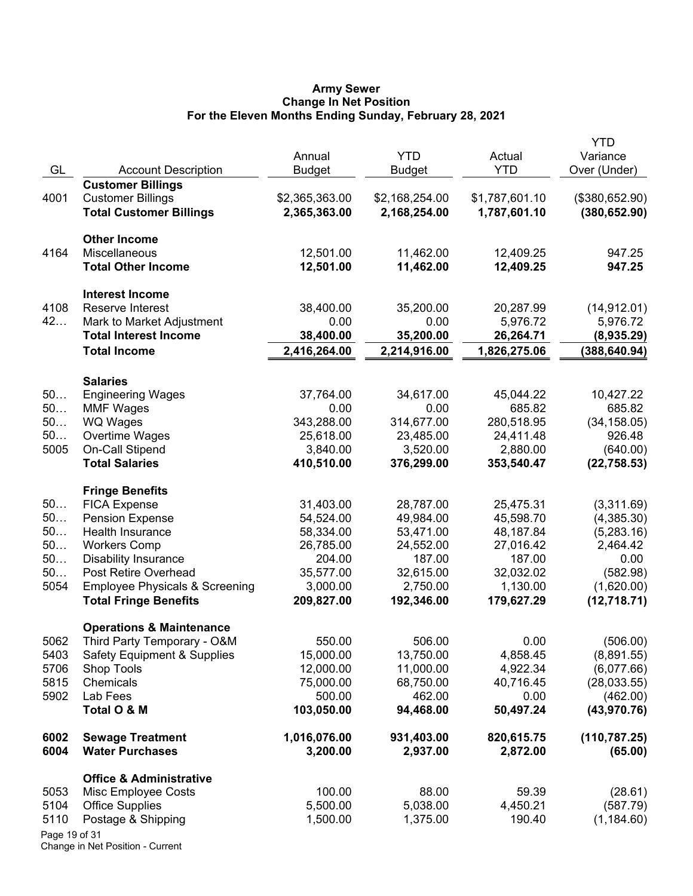#### **Army Sewer Change In Net Position For the Eleven Months Ending Sunday, February 28, 2021**

| GL            | <b>Account Description</b>                          | Annual<br><b>Budget</b>  | <b>YTD</b><br><b>Budget</b> | Actual<br><b>YTD</b>   | <b>YTD</b><br>Variance<br>Over (Under) |
|---------------|-----------------------------------------------------|--------------------------|-----------------------------|------------------------|----------------------------------------|
|               | <b>Customer Billings</b>                            |                          |                             |                        |                                        |
| 4001          | <b>Customer Billings</b>                            | \$2,365,363.00           | \$2,168,254.00              | \$1,787,601.10         | (\$380,652.90)                         |
|               | <b>Total Customer Billings</b>                      | 2,365,363.00             | 2,168,254.00                | 1,787,601.10           | (380, 652.90)                          |
|               | <b>Other Income</b>                                 |                          |                             |                        |                                        |
| 4164          | Miscellaneous                                       | 12,501.00                | 11,462.00                   | 12,409.25              | 947.25                                 |
|               | <b>Total Other Income</b>                           | 12,501.00                | 11,462.00                   | 12,409.25              | 947.25                                 |
|               | <b>Interest Income</b>                              |                          |                             |                        |                                        |
| 4108          | Reserve Interest                                    | 38,400.00                | 35,200.00                   | 20,287.99              | (14, 912.01)                           |
| 42            | Mark to Market Adjustment                           | 0.00                     | 0.00                        | 5,976.72               | 5,976.72                               |
|               | <b>Total Interest Income</b>                        | 38,400.00                | 35,200.00                   | 26,264.71              | (8,935.29)                             |
|               | <b>Total Income</b>                                 | 2,416,264.00             | 2,214,916.00                | 1,826,275.06           | (388, 640.94)                          |
|               | <b>Salaries</b>                                     |                          |                             |                        |                                        |
| 50            | <b>Engineering Wages</b>                            | 37,764.00                | 34,617.00                   | 45,044.22              | 10,427.22                              |
| 50            | <b>MMF Wages</b>                                    | 0.00                     | 0.00                        | 685.82                 | 685.82                                 |
| 50            | <b>WQ Wages</b>                                     | 343,288.00               | 314,677.00                  | 280,518.95             | (34, 158.05)                           |
| 50            | Overtime Wages                                      | 25,618.00                | 23,485.00                   | 24,411.48              | 926.48                                 |
| 5005          | <b>On-Call Stipend</b>                              | 3,840.00                 | 3,520.00                    | 2,880.00               | (640.00)                               |
|               | <b>Total Salaries</b>                               | 410,510.00               | 376,299.00                  | 353,540.47             | (22, 758.53)                           |
|               | <b>Fringe Benefits</b>                              |                          |                             |                        |                                        |
| 50            | <b>FICA Expense</b>                                 | 31,403.00                | 28,787.00                   | 25,475.31              | (3,311.69)                             |
| 50            | <b>Pension Expense</b>                              | 54,524.00                | 49,984.00                   | 45,598.70              | (4,385.30)                             |
| 50<br>50      | Health Insurance                                    | 58,334.00                | 53,471.00                   | 48,187.84              | (5,283.16)                             |
| 50            | <b>Workers Comp</b>                                 | 26,785.00<br>204.00      | 24,552.00<br>187.00         | 27,016.42<br>187.00    | 2,464.42                               |
| 50            | <b>Disability Insurance</b><br>Post Retire Overhead | 35,577.00                | 32,615.00                   | 32,032.02              | 0.00<br>(582.98)                       |
| 5054          | <b>Employee Physicals &amp; Screening</b>           | 3,000.00                 | 2,750.00                    | 1,130.00               | (1,620.00)                             |
|               | <b>Total Fringe Benefits</b>                        | 209,827.00               | 192,346.00                  | 179,627.29             | (12,718.71)                            |
|               | <b>Operations &amp; Maintenance</b>                 |                          |                             |                        |                                        |
| 5062          | Third Party Temporary - O&M                         | 550.00                   | 506.00                      | 0.00                   | (506.00)                               |
| 5403          | <b>Safety Equipment &amp; Supplies</b>              | 15,000.00                | 13,750.00                   | 4,858.45               | (8,891.55)                             |
| 5706          | Shop Tools                                          | 12,000.00                | 11,000.00                   | 4,922.34               | (6,077.66)                             |
| 5815          | Chemicals                                           | 75,000.00                | 68,750.00                   | 40,716.45              | (28,033.55)                            |
| 5902          | Lab Fees                                            | 500.00                   | 462.00                      | 0.00                   | (462.00)                               |
|               | Total O & M                                         | 103,050.00               | 94,468.00                   | 50,497.24              | (43, 970.76)                           |
| 6002<br>6004  | <b>Sewage Treatment</b><br><b>Water Purchases</b>   | 1,016,076.00<br>3,200.00 | 931,403.00<br>2,937.00      | 820,615.75<br>2,872.00 | (110, 787.25)<br>(65.00)               |
|               | <b>Office &amp; Administrative</b>                  |                          |                             |                        |                                        |
| 5053          | Misc Employee Costs                                 | 100.00                   | 88.00                       | 59.39                  | (28.61)                                |
| 5104          | <b>Office Supplies</b>                              | 5,500.00                 | 5,038.00                    | 4,450.21               | (587.79)                               |
| 5110          | Postage & Shipping                                  | 1,500.00                 | 1,375.00                    | 190.40                 | (1, 184.60)                            |
| Page 19 of 31 |                                                     |                          |                             |                        |                                        |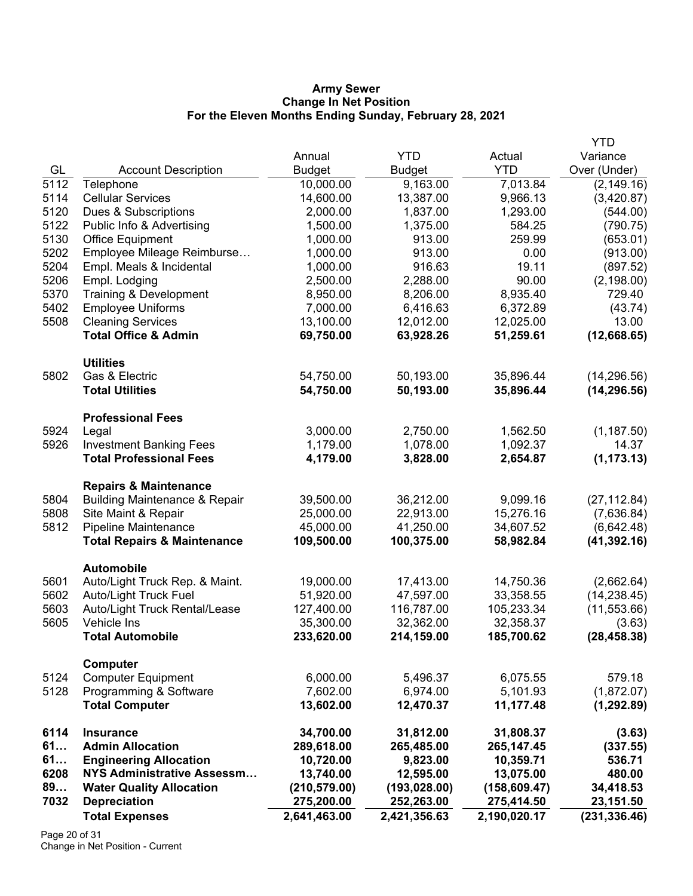#### **Army Sewer Change In Net Position For the Eleven Months Ending Sunday, February 28, 2021**

|      |                                          |               |               |               | <b>YTD</b>    |
|------|------------------------------------------|---------------|---------------|---------------|---------------|
|      |                                          | Annual        | <b>YTD</b>    | Actual        | Variance      |
| GL   | <b>Account Description</b>               | <b>Budget</b> | <b>Budget</b> | <b>YTD</b>    | Over (Under)  |
| 5112 | Telephone                                | 10,000.00     | 9,163.00      | 7,013.84      | (2, 149.16)   |
| 5114 | <b>Cellular Services</b>                 | 14,600.00     | 13,387.00     | 9,966.13      | (3,420.87)    |
| 5120 | Dues & Subscriptions                     | 2,000.00      | 1,837.00      | 1,293.00      | (544.00)      |
| 5122 | Public Info & Advertising                | 1,500.00      | 1,375.00      | 584.25        | (790.75)      |
| 5130 | <b>Office Equipment</b>                  | 1,000.00      | 913.00        | 259.99        | (653.01)      |
| 5202 | Employee Mileage Reimburse               | 1,000.00      | 913.00        | 0.00          | (913.00)      |
| 5204 | Empl. Meals & Incidental                 | 1,000.00      | 916.63        | 19.11         | (897.52)      |
| 5206 | Empl. Lodging                            | 2,500.00      | 2,288.00      | 90.00         | (2, 198.00)   |
| 5370 | Training & Development                   | 8,950.00      | 8,206.00      | 8,935.40      | 729.40        |
| 5402 | <b>Employee Uniforms</b>                 | 7,000.00      | 6,416.63      | 6,372.89      | (43.74)       |
| 5508 | <b>Cleaning Services</b>                 | 13,100.00     | 12,012.00     | 12,025.00     | 13.00         |
|      | <b>Total Office &amp; Admin</b>          | 69,750.00     | 63,928.26     | 51,259.61     | (12,668.65)   |
|      | <b>Utilities</b>                         |               |               |               |               |
| 5802 | Gas & Electric                           | 54,750.00     | 50,193.00     | 35,896.44     | (14, 296.56)  |
|      | <b>Total Utilities</b>                   | 54,750.00     | 50,193.00     | 35,896.44     | (14, 296.56)  |
|      | <b>Professional Fees</b>                 |               |               |               |               |
| 5924 | Legal                                    | 3,000.00      | 2,750.00      | 1,562.50      | (1, 187.50)   |
| 5926 | <b>Investment Banking Fees</b>           | 1,179.00      | 1,078.00      | 1,092.37      | 14.37         |
|      | <b>Total Professional Fees</b>           | 4,179.00      | 3,828.00      | 2,654.87      | (1, 173.13)   |
|      | <b>Repairs &amp; Maintenance</b>         |               |               |               |               |
| 5804 | <b>Building Maintenance &amp; Repair</b> | 39,500.00     | 36,212.00     | 9,099.16      | (27, 112.84)  |
| 5808 | Site Maint & Repair                      | 25,000.00     | 22,913.00     | 15,276.16     | (7,636.84)    |
| 5812 | Pipeline Maintenance                     | 45,000.00     | 41,250.00     | 34,607.52     | (6,642.48)    |
|      | <b>Total Repairs &amp; Maintenance</b>   | 109,500.00    | 100,375.00    | 58,982.84     | (41, 392.16)  |
|      | <b>Automobile</b>                        |               |               |               |               |
| 5601 | Auto/Light Truck Rep. & Maint.           | 19,000.00     | 17,413.00     | 14,750.36     | (2,662.64)    |
| 5602 | <b>Auto/Light Truck Fuel</b>             | 51,920.00     | 47,597.00     | 33,358.55     | (14, 238.45)  |
| 5603 | Auto/Light Truck Rental/Lease            | 127,400.00    | 116,787.00    | 105,233.34    | (11, 553.66)  |
| 5605 | Vehicle Ins                              | 35,300.00     | 32,362.00     | 32,358.37     | (3.63)        |
|      | <b>Total Automobile</b>                  | 233,620.00    | 214,159.00    | 185,700.62    | (28, 458.38)  |
|      | Computer                                 |               |               |               |               |
| 5124 | <b>Computer Equipment</b>                | 6,000.00      | 5,496.37      | 6,075.55      | 579.18        |
| 5128 | Programming & Software                   | 7,602.00      | 6,974.00      | 5,101.93      | (1,872.07)    |
|      | <b>Total Computer</b>                    | 13,602.00     | 12,470.37     | 11,177.48     | (1, 292.89)   |
| 6114 | <b>Insurance</b>                         | 34,700.00     | 31,812.00     | 31,808.37     | (3.63)        |
| 61   | <b>Admin Allocation</b>                  | 289,618.00    | 265,485.00    | 265, 147. 45  | (337.55)      |
| 61   | <b>Engineering Allocation</b>            | 10,720.00     | 9,823.00      | 10,359.71     | 536.71        |
| 6208 | <b>NYS Administrative Assessm</b>        | 13,740.00     | 12,595.00     | 13,075.00     | 480.00        |
| 89   | <b>Water Quality Allocation</b>          | (210, 579.00) | (193, 028.00) | (158, 609.47) | 34,418.53     |
| 7032 | <b>Depreciation</b>                      | 275,200.00    | 252,263.00    | 275,414.50    | 23,151.50     |
|      | <b>Total Expenses</b>                    | 2,641,463.00  | 2,421,356.63  | 2,190,020.17  | (231, 336.46) |

Page 20 of 31 Change in Net Position - Current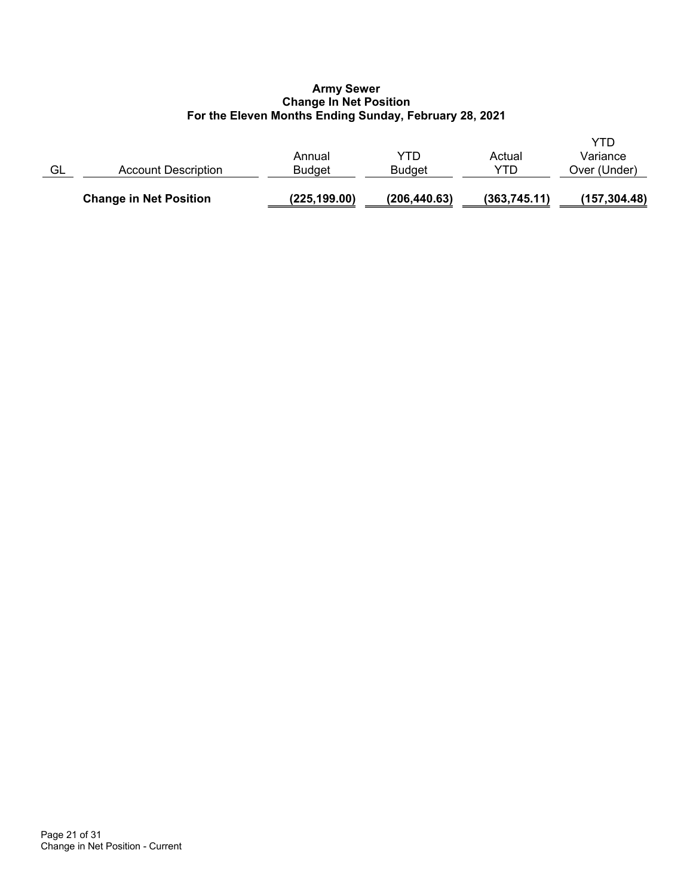### **Army Sewer Change In Net Position For the Eleven Months Ending Sunday, February 28, 2021**

|    | <b>Change in Net Position</b> | (225, 199.00)           | (206, 440.63)        | (363, 745.11) | (157, 304.48)            |
|----|-------------------------------|-------------------------|----------------------|---------------|--------------------------|
| GL | Account Description           | Annual<br><b>Budget</b> | YTD<br><b>Budget</b> | Actual<br>YTD | Variance<br>Over (Under) |
|    |                               |                         |                      |               | YTD                      |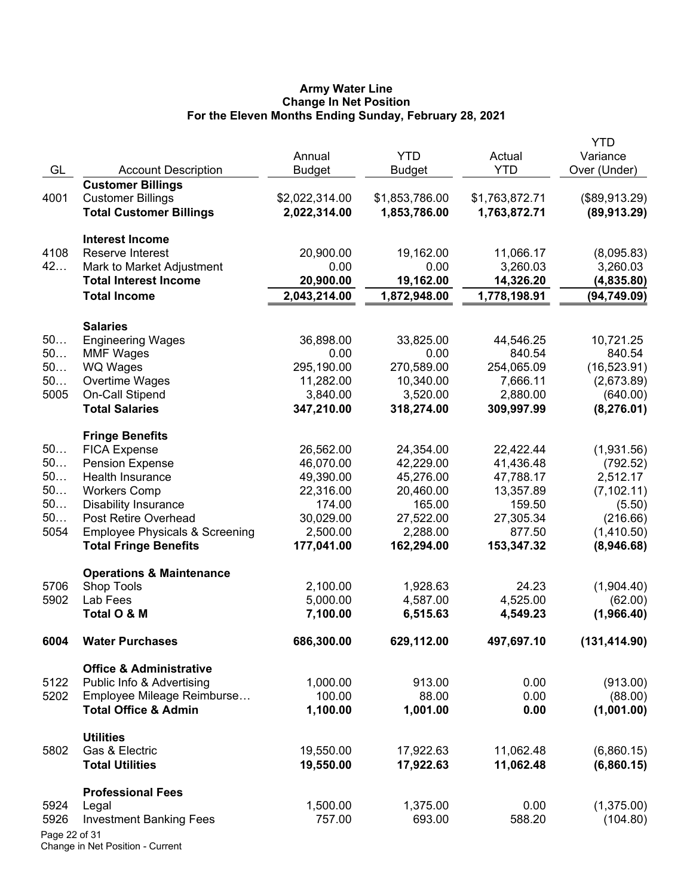#### **Army Water Line Change In Net Position For the Eleven Months Ending Sunday, February 28, 2021**

|               |                                           |                |                |                | <b>YTD</b>    |
|---------------|-------------------------------------------|----------------|----------------|----------------|---------------|
|               |                                           | Annual         | <b>YTD</b>     | Actual         | Variance      |
| GL            | <b>Account Description</b>                | <b>Budget</b>  | <b>Budget</b>  | <b>YTD</b>     | Over (Under)  |
|               | <b>Customer Billings</b>                  |                |                |                |               |
| 4001          | <b>Customer Billings</b>                  | \$2,022,314.00 | \$1,853,786.00 | \$1,763,872.71 | (\$89,913.29) |
|               | <b>Total Customer Billings</b>            | 2,022,314.00   | 1,853,786.00   | 1,763,872.71   | (89, 913.29)  |
|               | <b>Interest Income</b>                    |                |                |                |               |
| 4108          | Reserve Interest                          | 20,900.00      | 19,162.00      | 11,066.17      | (8,095.83)    |
| 42            | Mark to Market Adjustment                 | 0.00           | 0.00           | 3,260.03       | 3,260.03      |
|               | <b>Total Interest Income</b>              | 20,900.00      | 19,162.00      | 14,326.20      | (4,835.80)    |
|               | <b>Total Income</b>                       | 2,043,214.00   | 1,872,948.00   | 1,778,198.91   | (94, 749.09)  |
|               | <b>Salaries</b>                           |                |                |                |               |
| 50            | <b>Engineering Wages</b>                  | 36,898.00      | 33,825.00      | 44,546.25      | 10,721.25     |
| 50            | <b>MMF Wages</b>                          | 0.00           | 0.00           | 840.54         | 840.54        |
| 50            | <b>WQ Wages</b>                           | 295,190.00     | 270,589.00     | 254,065.09     | (16, 523.91)  |
| 50            | Overtime Wages                            | 11,282.00      | 10,340.00      | 7,666.11       | (2,673.89)    |
| 5005          | On-Call Stipend                           | 3,840.00       | 3,520.00       | 2,880.00       | (640.00)      |
|               | <b>Total Salaries</b>                     | 347,210.00     | 318,274.00     | 309,997.99     | (8, 276.01)   |
|               | <b>Fringe Benefits</b>                    |                |                |                |               |
| 50            | <b>FICA Expense</b>                       | 26,562.00      | 24,354.00      | 22,422.44      | (1,931.56)    |
| 50            | <b>Pension Expense</b>                    | 46,070.00      | 42,229.00      | 41,436.48      | (792.52)      |
| 50            | Health Insurance                          | 49,390.00      | 45,276.00      | 47,788.17      | 2,512.17      |
| 50            | <b>Workers Comp</b>                       | 22,316.00      | 20,460.00      | 13,357.89      | (7, 102.11)   |
| 50            | <b>Disability Insurance</b>               | 174.00         | 165.00         | 159.50         | (5.50)        |
| 50            | Post Retire Overhead                      | 30,029.00      | 27,522.00      | 27,305.34      | (216.66)      |
| 5054          | <b>Employee Physicals &amp; Screening</b> | 2,500.00       | 2,288.00       | 877.50         | (1,410.50)    |
|               | <b>Total Fringe Benefits</b>              | 177,041.00     | 162,294.00     | 153,347.32     | (8,946.68)    |
|               | <b>Operations &amp; Maintenance</b>       |                |                |                |               |
| 5706          | <b>Shop Tools</b>                         | 2,100.00       | 1,928.63       | 24.23          | (1,904.40)    |
| 5902          | Lab Fees                                  | 5,000.00       | 4,587.00       | 4,525.00       | (62.00)       |
|               | Total O & M                               | 7,100.00       | 6,515.63       | 4,549.23       | (1,966.40)    |
| 6004          | <b>Water Purchases</b>                    | 686,300.00     | 629,112.00     | 497,697.10     | (131, 414.90) |
|               | <b>Office &amp; Administrative</b>        |                |                |                |               |
| 5122          | Public Info & Advertising                 | 1,000.00       | 913.00         | 0.00           | (913.00)      |
| 5202          | Employee Mileage Reimburse                | 100.00         | 88.00          | 0.00           | (88.00)       |
|               | <b>Total Office &amp; Admin</b>           | 1,100.00       | 1,001.00       | 0.00           | (1,001.00)    |
|               | <b>Utilities</b>                          |                |                |                |               |
| 5802          | Gas & Electric                            | 19,550.00      | 17,922.63      | 11,062.48      | (6,860.15)    |
|               | <b>Total Utilities</b>                    | 19,550.00      | 17,922.63      | 11,062.48      | (6,860.15)    |
|               | <b>Professional Fees</b>                  |                |                |                |               |
| 5924          | Legal                                     | 1,500.00       | 1,375.00       | 0.00           | (1,375.00)    |
| 5926          | <b>Investment Banking Fees</b>            | 757.00         | 693.00         | 588.20         | (104.80)      |
| Page 22 of 31 |                                           |                |                |                |               |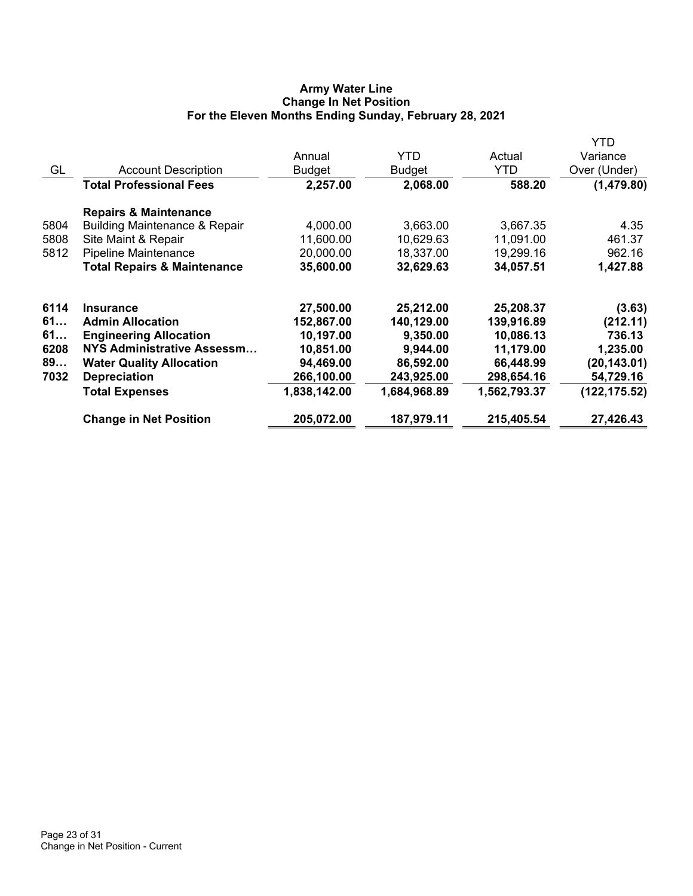# **Army Water Line Change In Net Position For the Eleven Months Ending Sunday, February 28, 2021**

|      |                                          |               |               |              | YTD           |
|------|------------------------------------------|---------------|---------------|--------------|---------------|
|      |                                          | Annual        | YTD.          | Actual       | Variance      |
| GL   | <b>Account Description</b>               | <b>Budget</b> | <b>Budget</b> | YTD          | Over (Under)  |
|      | <b>Total Professional Fees</b>           | 2,257.00      | 2,068.00      | 588.20       | (1,479.80)    |
|      | <b>Repairs &amp; Maintenance</b>         |               |               |              |               |
| 5804 | <b>Building Maintenance &amp; Repair</b> | 4,000.00      | 3,663.00      | 3,667.35     | 4.35          |
| 5808 | Site Maint & Repair                      | 11,600.00     | 10,629.63     | 11,091.00    | 461.37        |
| 5812 | <b>Pipeline Maintenance</b>              | 20,000.00     | 18,337.00     | 19,299.16    | 962.16        |
|      | <b>Total Repairs &amp; Maintenance</b>   | 35,600.00     | 32,629.63     | 34,057.51    | 1,427.88      |
| 6114 | <b>Insurance</b>                         | 27,500.00     | 25,212.00     | 25,208.37    | (3.63)        |
| 61   | <b>Admin Allocation</b>                  | 152,867.00    | 140,129.00    | 139,916.89   | (212.11)      |
| 61   | <b>Engineering Allocation</b>            | 10,197.00     | 9,350.00      | 10,086.13    | 736.13        |
| 6208 | NYS Administrative Assessm               | 10,851.00     | 9,944.00      | 11,179.00    | 1,235.00      |
| 89   | <b>Water Quality Allocation</b>          | 94,469.00     | 86,592.00     | 66,448.99    | (20, 143.01)  |
| 7032 | <b>Depreciation</b>                      | 266,100.00    | 243,925.00    | 298,654.16   | 54,729.16     |
|      | <b>Total Expenses</b>                    | 1,838,142.00  | 1,684,968.89  | 1,562,793.37 | (122, 175.52) |
|      | <b>Change in Net Position</b>            | 205,072.00    | 187,979.11    | 215,405.54   | 27,426.43     |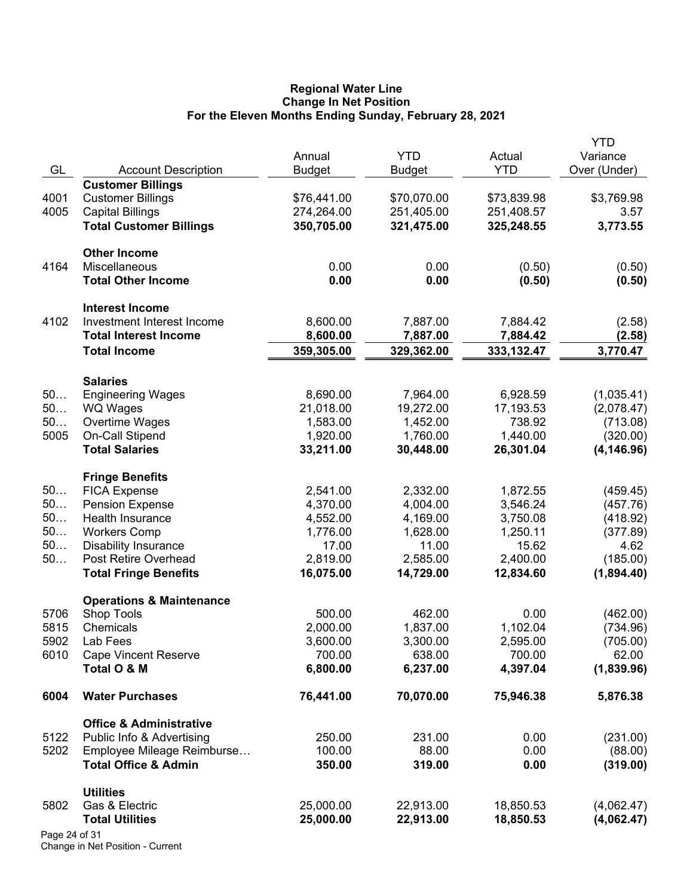#### **Regional Water Line Change In Net Position For the Eleven Months Ending Sunday, February 28, 2021**

|               |                                                                 | Annual             | <b>YTD</b>         | Actual             | YTD<br>Variance     |
|---------------|-----------------------------------------------------------------|--------------------|--------------------|--------------------|---------------------|
| GL            | <b>Account Description</b>                                      | <b>Budget</b>      | <b>Budget</b>      | <b>YTD</b>         | Over (Under)        |
|               | <b>Customer Billings</b>                                        |                    |                    |                    |                     |
| 4001          | <b>Customer Billings</b>                                        | \$76,441.00        | \$70,070.00        | \$73,839.98        | \$3,769.98          |
| 4005          | <b>Capital Billings</b>                                         | 274,264.00         | 251,405.00         | 251,408.57         | 3.57                |
|               | <b>Total Customer Billings</b>                                  | 350,705.00         | 321,475.00         | 325,248.55         | 3,773.55            |
|               | <b>Other Income</b>                                             |                    |                    |                    |                     |
| 4164          | Miscellaneous                                                   | 0.00               | 0.00               | (0.50)             | (0.50)              |
|               | <b>Total Other Income</b>                                       | 0.00               | 0.00               | (0.50)             | (0.50)              |
|               | <b>Interest Income</b>                                          |                    |                    |                    |                     |
| 4102          | Investment Interest Income                                      | 8,600.00           | 7,887.00           | 7,884.42           | (2.58)              |
|               | <b>Total Interest Income</b>                                    | 8,600.00           | 7,887.00           | 7,884.42           | (2.58)              |
|               | <b>Total Income</b>                                             | 359,305.00         | 329,362.00         | 333,132.47         | 3,770.47            |
|               | <b>Salaries</b>                                                 |                    |                    |                    |                     |
| 50            | <b>Engineering Wages</b>                                        | 8,690.00           | 7,964.00           | 6,928.59           | (1,035.41)          |
| 50            | WQ Wages                                                        | 21,018.00          | 19,272.00          | 17,193.53          | (2,078.47)          |
| 50            | Overtime Wages                                                  | 1,583.00           | 1,452.00           | 738.92             | (713.08)            |
| 5005          | On-Call Stipend                                                 | 1,920.00           | 1,760.00           | 1,440.00           | (320.00)            |
|               | <b>Total Salaries</b>                                           | 33,211.00          | 30,448.00          | 26,301.04          | (4, 146.96)         |
|               | <b>Fringe Benefits</b>                                          |                    |                    |                    |                     |
| 50            | <b>FICA Expense</b>                                             | 2,541.00           | 2,332.00           | 1,872.55           | (459.45)            |
| 50            | <b>Pension Expense</b>                                          | 4,370.00           | 4,004.00           | 3,546.24           | (457.76)            |
| 50            | Health Insurance                                                | 4,552.00           | 4,169.00           | 3,750.08           | (418.92)            |
| 50            | <b>Workers Comp</b>                                             | 1,776.00           | 1,628.00           | 1,250.11           | (377.89)            |
| 50            | <b>Disability Insurance</b>                                     | 17.00              | 11.00              | 15.62              | 4.62                |
| 50            | Post Retire Overhead                                            | 2,819.00           | 2,585.00           | 2,400.00           | (185.00)            |
|               | <b>Total Fringe Benefits</b>                                    | 16,075.00          | 14,729.00          | 12,834.60          | (1,894.40)          |
|               | <b>Operations &amp; Maintenance</b>                             |                    |                    |                    |                     |
| 5706          | Shop Tools                                                      | 500.00             | 462.00             | 0.00               | (462.00)            |
| 5815          | Chemicals                                                       | 2,000.00           | 1,837.00           | 1,102.04           | (734.96)            |
| 5902          | Lab Fees                                                        | 3,600.00           | 3,300.00           | 2,595.00           | (705.00)            |
| 6010          | <b>Cape Vincent Reserve</b><br>Total O & M                      | 700.00<br>6,800.00 | 638.00<br>6,237.00 | 700.00<br>4,397.04 | 62.00<br>(1,839.96) |
| 6004          | <b>Water Purchases</b>                                          | 76,441.00          | 70,070.00          | 75,946.38          | 5,876.38            |
|               |                                                                 |                    |                    |                    |                     |
| 5122          | <b>Office &amp; Administrative</b><br>Public Info & Advertising | 250.00             | 231.00             | 0.00               | (231.00)            |
| 5202          | Employee Mileage Reimburse                                      | 100.00             | 88.00              | 0.00               | (88.00)             |
|               | <b>Total Office &amp; Admin</b>                                 | 350.00             | 319.00             | 0.00               | (319.00)            |
|               | <b>Utilities</b>                                                |                    |                    |                    |                     |
| 5802          | Gas & Electric                                                  | 25,000.00          | 22,913.00          | 18,850.53          | (4,062.47)          |
|               | <b>Total Utilities</b>                                          | 25,000.00          | 22,913.00          | 18,850.53          | (4,062.47)          |
| Page 24 of 31 |                                                                 |                    |                    |                    |                     |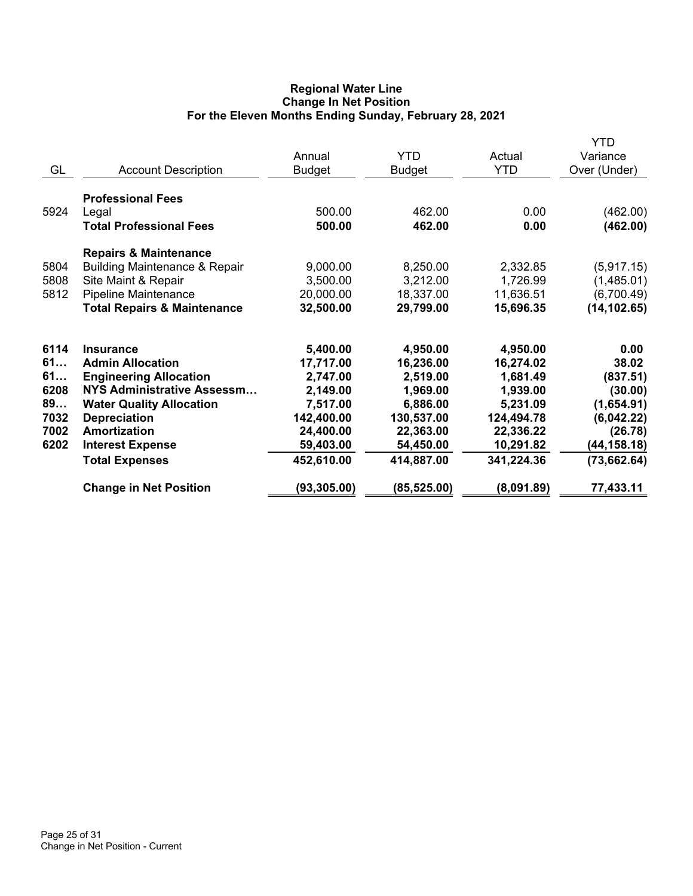## **Regional Water Line Change In Net Position For the Eleven Months Ending Sunday, February 28, 2021**

| GL                                                     | <b>Account Description</b>                                                                                                                                                                                                                             | Annual<br><b>Budget</b>                                                                                         | <b>YTD</b><br>Budget                                                                                            | Actual<br><b>YTD</b>                                                                                            | <b>YTD</b><br>Variance<br>Over (Under)                                                                      |
|--------------------------------------------------------|--------------------------------------------------------------------------------------------------------------------------------------------------------------------------------------------------------------------------------------------------------|-----------------------------------------------------------------------------------------------------------------|-----------------------------------------------------------------------------------------------------------------|-----------------------------------------------------------------------------------------------------------------|-------------------------------------------------------------------------------------------------------------|
| 5924                                                   | <b>Professional Fees</b><br>Legal<br><b>Total Professional Fees</b>                                                                                                                                                                                    | 500.00<br>500.00                                                                                                | 462.00<br>462.00                                                                                                | 0.00<br>0.00                                                                                                    | (462.00)<br>(462.00)                                                                                        |
| 5804<br>5808<br>5812                                   | <b>Repairs &amp; Maintenance</b><br><b>Building Maintenance &amp; Repair</b><br>Site Maint & Repair<br>Pipeline Maintenance<br><b>Total Repairs &amp; Maintenance</b>                                                                                  | 9,000.00<br>3,500.00<br>20,000.00<br>32,500.00                                                                  | 8,250.00<br>3,212.00<br>18,337.00<br>29,799.00                                                                  | 2,332.85<br>1,726.99<br>11,636.51<br>15,696.35                                                                  | (5,917.15)<br>(1,485.01)<br>(6,700.49)<br>(14, 102.65)                                                      |
| 6114<br>61<br>61<br>6208<br>89<br>7032<br>7002<br>6202 | <b>Insurance</b><br><b>Admin Allocation</b><br><b>Engineering Allocation</b><br><b>NYS Administrative Assessm</b><br><b>Water Quality Allocation</b><br><b>Depreciation</b><br><b>Amortization</b><br><b>Interest Expense</b><br><b>Total Expenses</b> | 5,400.00<br>17,717.00<br>2,747.00<br>2,149.00<br>7,517.00<br>142,400.00<br>24,400.00<br>59,403.00<br>452,610.00 | 4,950.00<br>16,236.00<br>2,519.00<br>1,969.00<br>6,886.00<br>130,537.00<br>22,363.00<br>54,450.00<br>414,887.00 | 4,950.00<br>16,274.02<br>1,681.49<br>1,939.00<br>5,231.09<br>124,494.78<br>22,336.22<br>10,291.82<br>341,224.36 | 0.00<br>38.02<br>(837.51)<br>(30.00)<br>(1,654.91)<br>(6,042.22)<br>(26.78)<br>(44, 158.18)<br>(73, 662.64) |
|                                                        | <b>Change in Net Position</b>                                                                                                                                                                                                                          | (93, 305.00)                                                                                                    | (85,525.00)                                                                                                     | (8,091.89)                                                                                                      | 77,433.11                                                                                                   |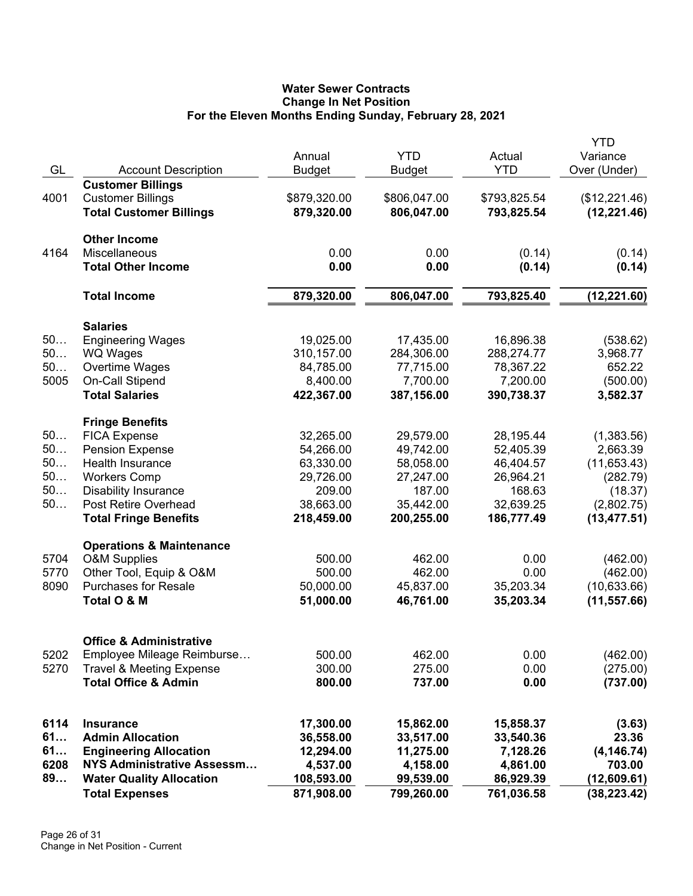# **Water Sewer Contracts Change In Net Position For the Eleven Months Ending Sunday, February 28, 2021**

|      |                                     | Annual        | <b>YTD</b>    | Actual       | <b>YTD</b><br>Variance |
|------|-------------------------------------|---------------|---------------|--------------|------------------------|
| GL   | <b>Account Description</b>          | <b>Budget</b> | <b>Budget</b> | <b>YTD</b>   | Over (Under)           |
|      | <b>Customer Billings</b>            |               |               |              |                        |
| 4001 | <b>Customer Billings</b>            | \$879,320.00  | \$806,047.00  | \$793,825.54 | (\$12,221.46)          |
|      | <b>Total Customer Billings</b>      | 879,320.00    | 806,047.00    | 793,825.54   | (12, 221.46)           |
|      | <b>Other Income</b>                 |               |               |              |                        |
| 4164 | Miscellaneous                       | 0.00          | 0.00          | (0.14)       | (0.14)                 |
|      | <b>Total Other Income</b>           | 0.00          | 0.00          | (0.14)       | (0.14)                 |
|      | <b>Total Income</b>                 | 879,320.00    | 806,047.00    | 793,825.40   | (12, 221.60)           |
|      | <b>Salaries</b>                     |               |               |              |                        |
| 50   | <b>Engineering Wages</b>            | 19,025.00     | 17,435.00     | 16,896.38    | (538.62)               |
| 50   | WQ Wages                            | 310,157.00    | 284,306.00    | 288,274.77   | 3,968.77               |
| 50   | Overtime Wages                      | 84,785.00     | 77,715.00     | 78,367.22    | 652.22                 |
| 5005 | On-Call Stipend                     | 8,400.00      | 7,700.00      | 7,200.00     | (500.00)               |
|      | <b>Total Salaries</b>               | 422,367.00    | 387,156.00    | 390,738.37   | 3,582.37               |
|      | <b>Fringe Benefits</b>              |               |               |              |                        |
| 50   | <b>FICA Expense</b>                 | 32,265.00     | 29,579.00     | 28,195.44    | (1,383.56)             |
| 50   | <b>Pension Expense</b>              | 54,266.00     | 49,742.00     | 52,405.39    | 2,663.39               |
| 50   | <b>Health Insurance</b>             | 63,330.00     | 58,058.00     | 46,404.57    | (11,653.43)            |
| 50   | <b>Workers Comp</b>                 | 29,726.00     | 27,247.00     | 26,964.21    | (282.79)               |
| 50   | <b>Disability Insurance</b>         | 209.00        | 187.00        | 168.63       | (18.37)                |
| 50   | Post Retire Overhead                | 38,663.00     | 35,442.00     | 32,639.25    | (2,802.75)             |
|      | <b>Total Fringe Benefits</b>        | 218,459.00    | 200,255.00    | 186,777.49   | (13, 477.51)           |
|      | <b>Operations &amp; Maintenance</b> |               |               |              |                        |
| 5704 | <b>O&amp;M Supplies</b>             | 500.00        | 462.00        | 0.00         | (462.00)               |
| 5770 | Other Tool, Equip & O&M             | 500.00        | 462.00        | 0.00         | (462.00)               |
| 8090 | <b>Purchases for Resale</b>         | 50,000.00     | 45,837.00     | 35,203.34    | (10,633.66)            |
|      | Total O & M                         | 51,000.00     | 46,761.00     | 35,203.34    | (11, 557.66)           |
|      | <b>Office &amp; Administrative</b>  |               |               |              |                        |
| 5202 | Employee Mileage Reimburse          | 500.00        | 462.00        | 0.00         | (462.00)               |
| 5270 | <b>Travel &amp; Meeting Expense</b> | 300.00        | 275.00        | 0.00         | (275.00)               |
|      | <b>Total Office &amp; Admin</b>     | 800.00        | 737.00        | 0.00         | (737.00)               |
|      |                                     |               |               |              |                        |
| 6114 | <b>Insurance</b>                    | 17,300.00     | 15,862.00     | 15,858.37    | (3.63)                 |
| 61   | <b>Admin Allocation</b>             | 36,558.00     | 33,517.00     | 33,540.36    | 23.36                  |
| 61   | <b>Engineering Allocation</b>       | 12,294.00     | 11,275.00     | 7,128.26     | (4, 146.74)            |
| 6208 | NYS Administrative Assessm          | 4,537.00      | 4,158.00      | 4,861.00     | 703.00                 |
| 89   | <b>Water Quality Allocation</b>     | 108,593.00    | 99,539.00     | 86,929.39    | (12,609.61)            |
|      | <b>Total Expenses</b>               | 871,908.00    | 799,260.00    | 761,036.58   | (38, 223.42)           |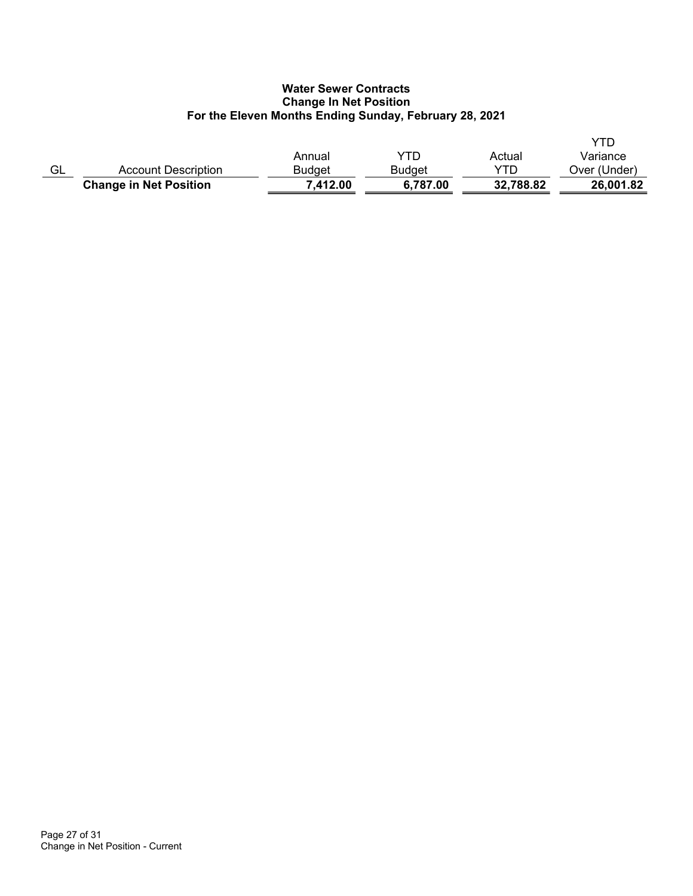# **Water Sewer Contracts Change In Net Position For the Eleven Months Ending Sunday, February 28, 2021**

|    |                               | Annual   | YTD      | Actual    | YTD<br>Variance |
|----|-------------------------------|----------|----------|-----------|-----------------|
| GL | Account Description           | Budget   | Budget   | YTD       | Over (Under)    |
|    | <b>Change in Net Position</b> | 7,412.00 | 6,787.00 | 32,788.82 | 26,001.82       |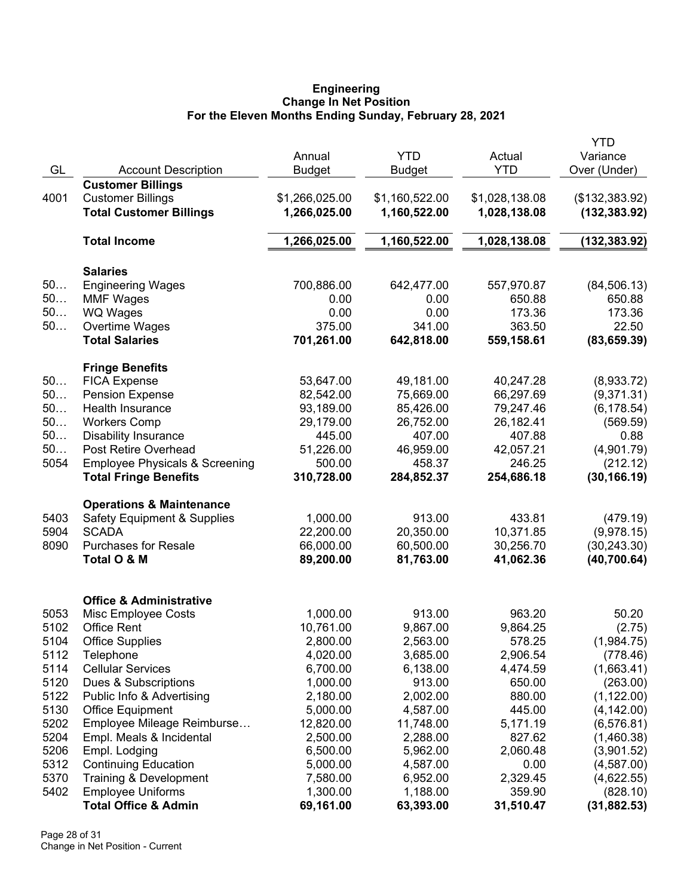#### **Engineering Change In Net Position For the Eleven Months Ending Sunday, February 28, 2021**

|              |                                           |                        |                |                        | <b>YTD</b>     |
|--------------|-------------------------------------------|------------------------|----------------|------------------------|----------------|
|              |                                           | Annual                 | <b>YTD</b>     | Actual                 | Variance       |
| GL           | <b>Account Description</b>                | <b>Budget</b>          | Budget         | <b>YTD</b>             | Over (Under)   |
|              | <b>Customer Billings</b>                  |                        |                |                        |                |
| 4001         | <b>Customer Billings</b>                  | \$1,266,025.00         | \$1,160,522.00 | \$1,028,138.08         | (\$132,383.92) |
|              | <b>Total Customer Billings</b>            | 1,266,025.00           | 1,160,522.00   | 1,028,138.08           | (132, 383.92)  |
|              |                                           |                        |                |                        |                |
|              | <b>Total Income</b>                       | 1,266,025.00           | 1,160,522.00   | 1,028,138.08           | (132, 383.92)  |
|              | <b>Salaries</b>                           |                        |                |                        |                |
| 50           | <b>Engineering Wages</b>                  | 700,886.00             | 642,477.00     | 557,970.87             | (84, 506.13)   |
| 50           | <b>MMF Wages</b>                          | 0.00                   | 0.00           | 650.88                 | 650.88         |
| 50           | WQ Wages                                  | 0.00                   | 0.00           | 173.36                 | 173.36         |
| 50           | Overtime Wages                            | 375.00                 | 341.00         | 363.50                 | 22.50          |
|              | <b>Total Salaries</b>                     | 701,261.00             | 642,818.00     | 559,158.61             | (83, 659.39)   |
|              |                                           |                        |                |                        |                |
| 50           | <b>Fringe Benefits</b>                    |                        |                |                        |                |
| 50           | <b>FICA Expense</b>                       | 53,647.00<br>82,542.00 | 49,181.00      | 40,247.28<br>66,297.69 | (8,933.72)     |
|              | <b>Pension Expense</b>                    |                        | 75,669.00      |                        | (9,371.31)     |
| 50           | Health Insurance                          | 93,189.00              | 85,426.00      | 79,247.46              | (6, 178.54)    |
| 50           | <b>Workers Comp</b>                       | 29,179.00              | 26,752.00      | 26,182.41              | (569.59)       |
| 50           | <b>Disability Insurance</b>               | 445.00                 | 407.00         | 407.88                 | 0.88           |
| 50           | Post Retire Overhead                      | 51,226.00              | 46,959.00      | 42,057.21              | (4,901.79)     |
| 5054         | <b>Employee Physicals &amp; Screening</b> | 500.00                 | 458.37         | 246.25                 | (212.12)       |
|              | <b>Total Fringe Benefits</b>              | 310,728.00             | 284,852.37     | 254,686.18             | (30, 166.19)   |
|              | <b>Operations &amp; Maintenance</b>       |                        |                |                        |                |
| 5403         | <b>Safety Equipment &amp; Supplies</b>    | 1,000.00               | 913.00         | 433.81                 | (479.19)       |
| 5904         | <b>SCADA</b>                              | 22,200.00              | 20,350.00      | 10,371.85              | (9,978.15)     |
| 8090         | <b>Purchases for Resale</b>               | 66,000.00              | 60,500.00      | 30,256.70              | (30, 243.30)   |
|              | Total O & M                               | 89,200.00              | 81,763.00      | 41,062.36              | (40, 700.64)   |
|              |                                           |                        |                |                        |                |
|              | <b>Office &amp; Administrative</b>        | 1,000.00               | 913.00         | 963.20                 | 50.20          |
| 5053<br>5102 | Misc Employee Costs<br><b>Office Rent</b> | 10,761.00              | 9,867.00       | 9,864.25               |                |
|              |                                           | 2,800.00               |                |                        | (2.75)         |
| 5104         | <b>Office Supplies</b>                    |                        | 2,563.00       | 578.25                 | (1,984.75)     |
| 5112         | Telephone                                 | 4,020.00               | 3,685.00       | 2,906.54               | (778.46)       |
| 5114         | <b>Cellular Services</b>                  | 6,700.00               | 6,138.00       | 4,474.59               | (1,663.41)     |
| 5120         | Dues & Subscriptions                      | 1,000.00               | 913.00         | 650.00                 | (263.00)       |
| 5122         | Public Info & Advertising                 | 2,180.00               | 2,002.00       | 880.00                 | (1, 122.00)    |
| 5130         | <b>Office Equipment</b>                   | 5,000.00               | 4,587.00       | 445.00                 | (4, 142.00)    |
| 5202         | Employee Mileage Reimburse                | 12,820.00              | 11,748.00      | 5,171.19               | (6, 576.81)    |
| 5204         | Empl. Meals & Incidental                  | 2,500.00               | 2,288.00       | 827.62                 | (1,460.38)     |
| 5206         | Empl. Lodging                             | 6,500.00               | 5,962.00       | 2,060.48               | (3,901.52)     |
| 5312         | <b>Continuing Education</b>               | 5,000.00               | 4,587.00       | 0.00                   | (4,587.00)     |
| 5370         | Training & Development                    | 7,580.00               | 6,952.00       | 2,329.45               | (4,622.55)     |
| 5402         | <b>Employee Uniforms</b>                  | 1,300.00               | 1,188.00       | 359.90                 | (828.10)       |
|              | <b>Total Office &amp; Admin</b>           | 69,161.00              | 63,393.00      | 31,510.47              | (31, 882.53)   |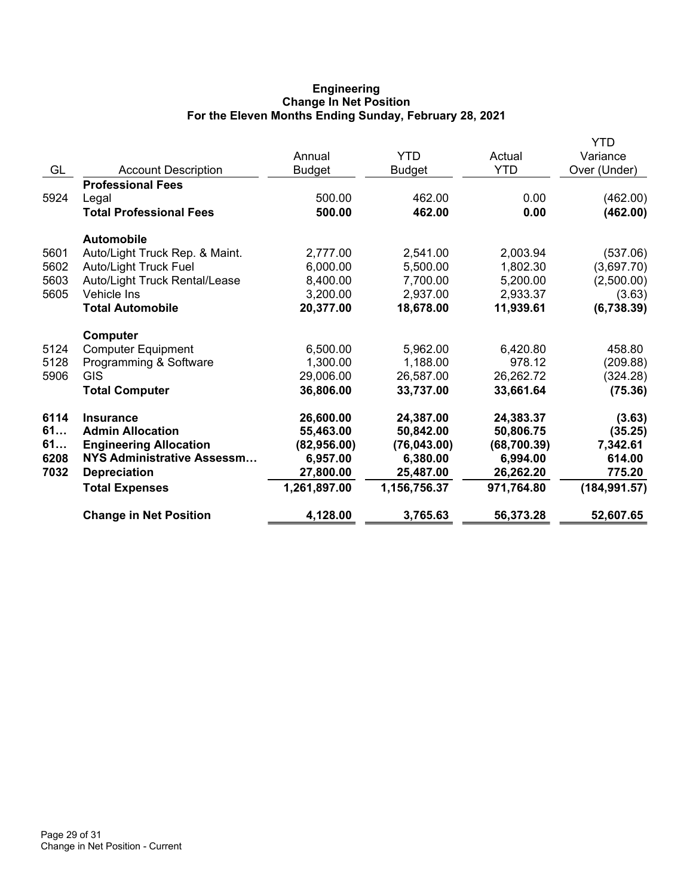### **Engineering Change In Net Position For the Eleven Months Ending Sunday, February 28, 2021**

|      |                                | Annual        | <b>YTD</b>    | Actual       | YTD<br>Variance |
|------|--------------------------------|---------------|---------------|--------------|-----------------|
| GL   | <b>Account Description</b>     | <b>Budget</b> | <b>Budget</b> | <b>YTD</b>   | Over (Under)    |
|      | <b>Professional Fees</b>       |               |               |              |                 |
| 5924 | Legal                          | 500.00        | 462.00        | 0.00         | (462.00)        |
|      | <b>Total Professional Fees</b> | 500.00        | 462.00        | 0.00         | (462.00)        |
|      | <b>Automobile</b>              |               |               |              |                 |
| 5601 | Auto/Light Truck Rep. & Maint. | 2,777.00      | 2,541.00      | 2,003.94     | (537.06)        |
| 5602 | <b>Auto/Light Truck Fuel</b>   | 6,000.00      | 5,500.00      | 1,802.30     | (3,697.70)      |
| 5603 | Auto/Light Truck Rental/Lease  | 8,400.00      | 7,700.00      | 5,200.00     | (2,500.00)      |
| 5605 | Vehicle Ins                    | 3,200.00      | 2,937.00      | 2,933.37     | (3.63)          |
|      | <b>Total Automobile</b>        | 20,377.00     | 18,678.00     | 11,939.61    | (6,738.39)      |
|      | Computer                       |               |               |              |                 |
| 5124 | <b>Computer Equipment</b>      | 6,500.00      | 5,962.00      | 6,420.80     | 458.80          |
| 5128 | Programming & Software         | 1,300.00      | 1,188.00      | 978.12       | (209.88)        |
| 5906 | <b>GIS</b>                     | 29,006.00     | 26,587.00     | 26,262.72    | (324.28)        |
|      | <b>Total Computer</b>          | 36,806.00     | 33,737.00     | 33,661.64    | (75.36)         |
| 6114 | <b>Insurance</b>               | 26,600.00     | 24,387.00     | 24,383.37    | (3.63)          |
| 61   | <b>Admin Allocation</b>        | 55,463.00     | 50,842.00     | 50,806.75    | (35.25)         |
| 61   | <b>Engineering Allocation</b>  | (82,956.00)   | (76,043.00)   | (68, 700.39) | 7,342.61        |
| 6208 | NYS Administrative Assessm     | 6,957.00      | 6,380.00      | 6,994.00     | 614.00          |
| 7032 | <b>Depreciation</b>            | 27,800.00     | 25,487.00     | 26,262.20    | 775.20          |
|      | <b>Total Expenses</b>          | 1,261,897.00  | 1,156,756.37  | 971,764.80   | (184, 991.57)   |
|      | <b>Change in Net Position</b>  | 4,128.00      | 3,765.63      | 56,373.28    | 52,607.65       |
|      |                                |               |               |              |                 |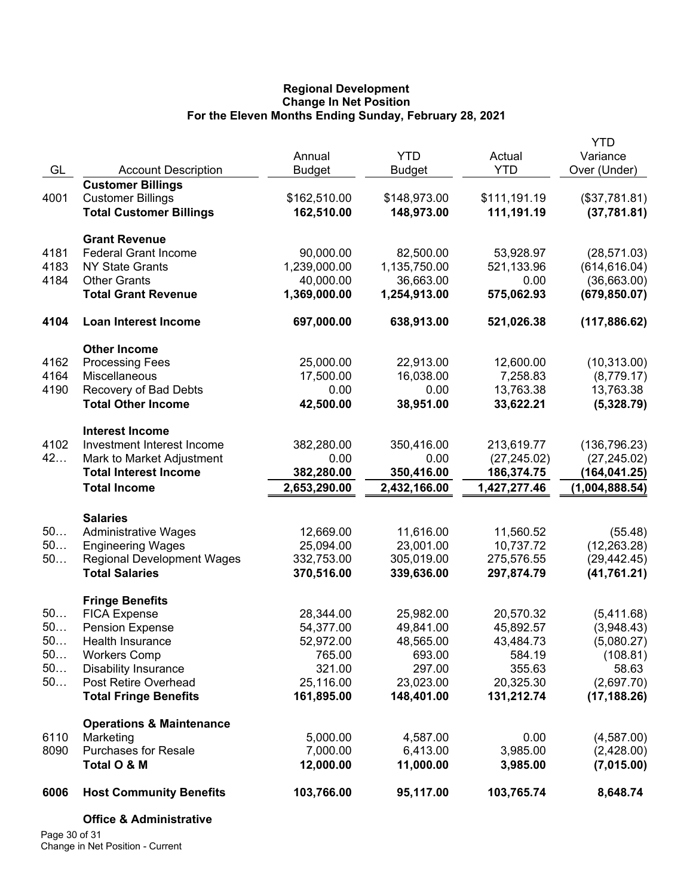### **Regional Development Change In Net Position For the Eleven Months Ending Sunday, February 28, 2021**

|          |                                                            |                          |                          |                          | <b>YTD</b>     |
|----------|------------------------------------------------------------|--------------------------|--------------------------|--------------------------|----------------|
|          |                                                            | Annual                   | <b>YTD</b>               | Actual                   | Variance       |
| GL       | <b>Account Description</b>                                 | <b>Budget</b>            | <b>Budget</b>            | <b>YTD</b>               | Over (Under)   |
|          | <b>Customer Billings</b>                                   |                          |                          |                          |                |
| 4001     | <b>Customer Billings</b>                                   | \$162,510.00             | \$148,973.00             | \$111,191.19             | (\$37,781.81)  |
|          | <b>Total Customer Billings</b>                             | 162,510.00               | 148,973.00               | 111,191.19               | (37, 781.81)   |
|          |                                                            |                          |                          |                          |                |
|          | <b>Grant Revenue</b>                                       |                          |                          |                          |                |
| 4181     | <b>Federal Grant Income</b>                                | 90,000.00                | 82,500.00                | 53,928.97                | (28, 571.03)   |
| 4183     | <b>NY State Grants</b>                                     | 1,239,000.00             | 1,135,750.00             | 521,133.96               | (614, 616.04)  |
| 4184     | <b>Other Grants</b>                                        | 40,000.00                | 36,663.00                | 0.00                     | (36,663.00)    |
|          | <b>Total Grant Revenue</b>                                 | 1,369,000.00             | 1,254,913.00             | 575,062.93               | (679, 850.07)  |
| 4104     | Loan Interest Income                                       | 697,000.00               | 638,913.00               | 521,026.38               | (117, 886.62)  |
|          | <b>Other Income</b>                                        |                          |                          |                          |                |
| 4162     | <b>Processing Fees</b>                                     | 25,000.00                | 22,913.00                | 12,600.00                | (10, 313.00)   |
| 4164     | Miscellaneous                                              | 17,500.00                | 16,038.00                | 7,258.83                 | (8,779.17)     |
| 4190     | Recovery of Bad Debts                                      | 0.00                     | 0.00                     | 13,763.38                | 13,763.38      |
|          | <b>Total Other Income</b>                                  | 42,500.00                | 38,951.00                | 33,622.21                | (5,328.79)     |
|          |                                                            |                          |                          |                          |                |
|          | <b>Interest Income</b>                                     |                          |                          |                          |                |
| 4102     | Investment Interest Income                                 | 382,280.00               | 350,416.00               | 213,619.77               | (136, 796.23)  |
| 42       | Mark to Market Adjustment                                  | 0.00                     | 0.00                     | (27, 245.02)             | (27, 245.02)   |
|          | <b>Total Interest Income</b>                               | 382,280.00               | 350,416.00               | 186,374.75               | (164, 041.25)  |
|          | <b>Total Income</b>                                        | 2,653,290.00             | 2,432,166.00             | 1,427,277.46             | (1,004,888.54) |
|          |                                                            |                          |                          |                          |                |
|          | <b>Salaries</b>                                            |                          |                          |                          |                |
| 50<br>50 | <b>Administrative Wages</b>                                | 12,669.00<br>25,094.00   | 11,616.00<br>23,001.00   | 11,560.52<br>10,737.72   | (55.48)        |
| 50       | <b>Engineering Wages</b>                                   |                          |                          |                          | (12, 263.28)   |
|          | <b>Regional Development Wages</b><br><b>Total Salaries</b> | 332,753.00<br>370,516.00 | 305,019.00<br>339,636.00 | 275,576.55<br>297,874.79 | (29, 442.45)   |
|          |                                                            |                          |                          |                          | (41, 761.21)   |
|          | <b>Fringe Benefits</b>                                     |                          |                          |                          |                |
| 50       | <b>FICA Expense</b>                                        | 28,344.00                | 25,982.00                | 20,570.32                | (5,411.68)     |
| 50       | <b>Pension Expense</b>                                     | 54,377.00                | 49,841.00                | 45,892.57                | (3,948.43)     |
| 50.      | Health Insurance                                           | 52,972.00                | 48,565.00                | 43,484.73                | (5,080.27)     |
| $50$     | <b>Workers Comp</b>                                        | 765.00                   | 693.00                   | 584.19                   | (108.81)       |
| 50       | <b>Disability Insurance</b>                                | 321.00                   | 297.00                   | 355.63                   | 58.63          |
| 50       | Post Retire Overhead                                       | 25,116.00                | 23,023.00                | 20,325.30                | (2,697.70)     |
|          | <b>Total Fringe Benefits</b>                               | 161,895.00               | 148,401.00               | 131,212.74               | (17, 188.26)   |
|          | <b>Operations &amp; Maintenance</b>                        |                          |                          |                          |                |
| 6110     | Marketing                                                  | 5,000.00                 | 4,587.00                 | 0.00                     | (4,587.00)     |
| 8090     | <b>Purchases for Resale</b>                                | 7,000.00                 | 6,413.00                 | 3,985.00                 | (2,428.00)     |
|          | Total O & M                                                | 12,000.00                | 11,000.00                | 3,985.00                 | (7,015.00)     |
| 6006     | <b>Host Community Benefits</b>                             | 103,766.00               | 95,117.00                | 103,765.74               | 8,648.74       |
|          |                                                            |                          |                          |                          |                |
|          | <b>Office &amp; Administrative</b>                         |                          |                          |                          |                |

Page 30 of 31 Change in Net Position - Current